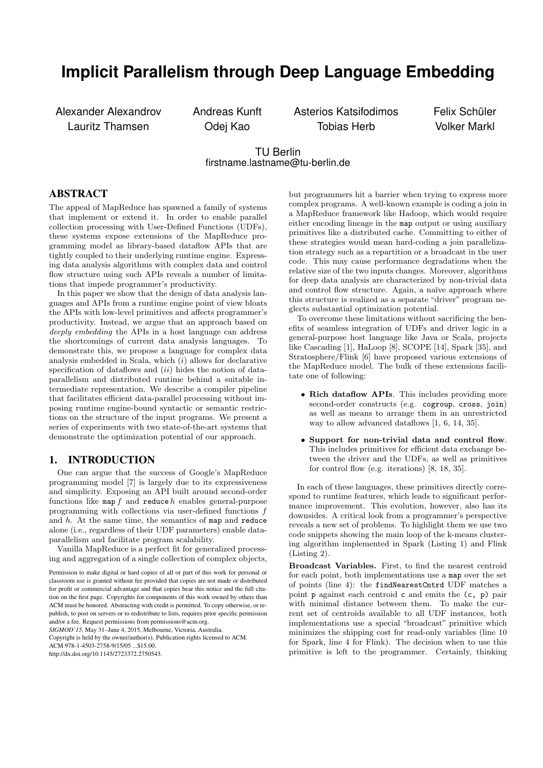# **Implicit Parallelism through Deep Language Embedding**

Alexander Alexandrov Lauritz Thamsen

Andreas Kunft Odej Kao

Asterios Katsifodimos Tobias Herb

Felix Schüler Volker Markl

# TU Berlin firstname.lastname@tu-berlin.de

## ABSTRACT

The appeal of MapReduce has spawned a family of systems that implement or extend it. In order to enable parallel collection processing with User-Defined Functions (UDFs), these systems expose extensions of the MapReduce programming model as library-based dataflow APIs that are tightly coupled to their underlying runtime engine. Expressing data analysis algorithms with complex data and control flow structure using such APIs reveals a number of limitations that impede programmer's productivity.

In this paper we show that the design of data analysis languages and APIs from a runtime engine point of view bloats the APIs with low-level primitives and affects programmer's productivity. Instead, we argue that an approach based on deeply embedding the APIs in a host language can address the shortcomings of current data analysis languages. To demonstrate this, we propose a language for complex data analysis embedded in Scala, which  $(i)$  allows for declarative specification of dataflows and  $(ii)$  hides the notion of dataparallelism and distributed runtime behind a suitable intermediate representation. We describe a compiler pipeline that facilitates efficient data-parallel processing without imposing runtime engine-bound syntactic or semantic restrictions on the structure of the input programs. We present a series of experiments with two state-of-the-art systems that demonstrate the optimization potential of our approach.

## <span id="page-0-0"></span>1. INTRODUCTION

One can argue that the success of Google's MapReduce programming model [\[7\]](#page-12-0) is largely due to its expressiveness and simplicity. Exposing an API built around second-order functions like map  $f$  and reduce  $h$  enables general-purpose programming with collections via user-defined functions f and h. At the same time, the semantics of map and reduce alone (i.e., regardless of their UDF parameters) enable dataparallelism and facilitate program scalability.

Vanilla MapReduce is a perfect fit for generalized processing and aggregation of a single collection of complex objects,

*SIGMOD'15,* May 31–June 4, 2015, Melbourne, Victoria, Australia.

Copyright is held by the owner/author(s). Publication rights licensed to ACM. ACM 978-1-4503-2758-9/15/05 \$15.00

http://dx.doi.org/10.1145/2723372.2750543.

but programmers hit a barrier when trying to express more complex programs. A well-known example is coding a join in a MapReduce framework like Hadoop, which would require either encoding lineage in the map output or using auxiliary primitives like a distributed cache. Committing to either of these strategies would mean hard-coding a join parallelization strategy such as a repartition or a broadcast in the user code. This may cause performance degradations when the relative size of the two inputs changes. Moreover, algorithms for deep data analysis are characterized by non-trivial data and control flow structure. Again, a naïve approach where this structure is realized as a separate "driver" program neglects substantial optimization potential.

To overcome these limitations without sacrificing the benefits of seamless integration of UDFs and driver logic in a general-purpose host language like Java or Scala, projects like Cascading [\[1\]](#page-12-1), HaLoop [\[8\]](#page-12-2), SCOPE [\[14\]](#page-12-3), Spark [\[35\]](#page-12-4), and Stratosphere/Flink [\[6\]](#page-12-5) have proposed various extensions of the MapReduce model. The bulk of these extensions facilitate one of following:

- Rich dataflow APIs. This includes providing more second-order constructs (e.g. cogroup, cross, join) as well as means to arrange them in an unrestricted way to allow advanced dataflows [\[1,](#page-12-1) [6,](#page-12-5) [14,](#page-12-3) [35\]](#page-12-4).
- Support for non-trivial data and control flow. This includes primitives for efficient data exchange between the driver and the UDFs, as well as primitives for control flow (e.g. iterations) [\[8,](#page-12-2) [18,](#page-12-6) [35\]](#page-12-4).

In each of these languages, these primitives directly correspond to runtime features, which leads to significant performance improvement. This evolution, however, also has its downsides. A critical look from a programmer's perspective reveals a new set of problems. To highlight them we use two code snippets showing the main loop of the k-means clustering algorithm implemented in Spark (Listing [1\)](#page-1-0) and Flink (Listing [2\)](#page-1-1).

Broadcast Variables. First, to find the nearest centroid for each point, both implementations use a map over the set of points (line [4\)](#page-1-2): the findNearestCntrd UDF matches a point p against each centroid c and emits the (c, p) pair with minimal distance between them. To make the current set of centroids available to all UDF instances, both implementations use a special "broadcast" primitive which minimizes the shipping cost for read-only variables (line [10](#page-1-3) for Spark, line [4](#page-1-4) for Flink). The decision when to use this primitive is left to the programmer. Certainly, thinking

Permission to make digital or hard copies of all or part of this work for personal or classroom use is granted without fee provided that copies are not made or distributed for profit or commercial advantage and that copies bear this notice and the full citation on the first page. Copyrights for components of this work owned by others than ACM must be honored. Abstracting with credit is permitted. To copy otherwise, or republish, to post on servers or to redistribute to lists, requires prior specific permission and/or a fee. Request permissions from permissions@acm.org.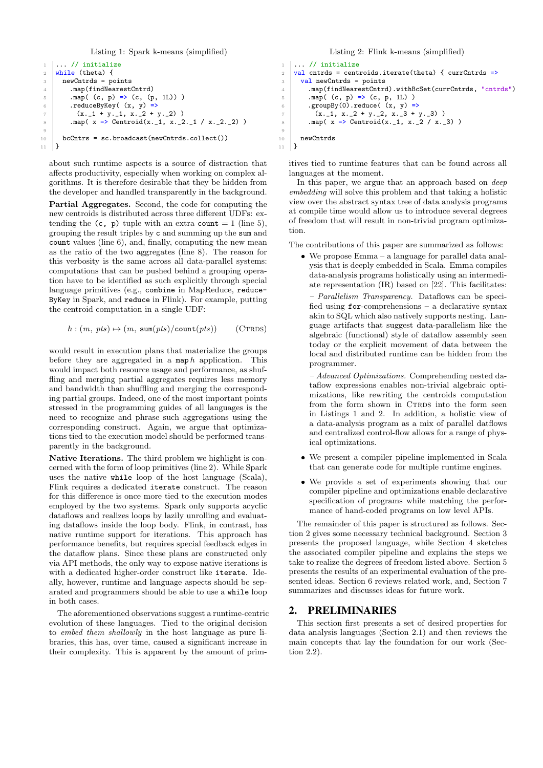Listing 1: Spark k-means (simplified)

```
1 \mid \ldots \mid / initialize
2 while (theta) {
3 newCntrds = points
4 .map(findNearestCntrd)
5 .map( (c, p) => (c, (p, 1L)))
 6 \mid .reduceByKey( (x, y) =7 (x._1 + y._1, x._2 + y._2))
8 .map( x \neq 0 Centroid(x._1, x._2._1 / x._2._2) )
9
10 bcCntrs = sc.broadcast(newCntrds.collect())
11 }
```
<span id="page-1-7"></span><span id="page-1-3"></span>about such runtime aspects is a source of distraction that affects productivity, especially when working on complex algorithms. It is therefore desirable that they be hidden from the developer and handled transparently in the background.

Partial Aggregates. Second, the code for computing the new centroids is distributed across three different UDFs: extending the  $(c, p)$  tuple with an extra count = 1 (line [5\)](#page-1-5). grouping the result triples by c and summing up the sum and count values (line [6\)](#page-1-6), and, finally, computing the new mean as the ratio of the two aggregates (line [8\)](#page-1-7). The reason for this verbosity is the same across all data-parallel systems: computations that can be pushed behind a grouping operation have to be identified as such explicitly through special language primitives (e.g., combine in MapReduce, reduce-ByKey in Spark, and reduce in Flink). For example, putting the centroid computation in a single UDF:

$$
h : (m, \; pts) \mapsto (m, \; \text{sum}(pts) / \text{count}(pts)) \qquad \text{(CTRDS)}
$$

would result in execution plans that materialize the groups before they are aggregated in a map  $h$  application. This would impact both resource usage and performance, as shuffling and merging partial aggregates requires less memory and bandwidth than shuffling and merging the corresponding partial groups. Indeed, one of the most important points stressed in the programming guides of all languages is the need to recognize and phrase such aggregations using the corresponding construct. Again, we argue that optimizations tied to the execution model should be performed transparently in the background.

Native Iterations. The third problem we highlight is concerned with the form of loop primitives (line [2\)](#page-1-8). While Spark uses the native while loop of the host language (Scala), Flink requires a dedicated iterate construct. The reason for this difference is once more tied to the execution modes employed by the two systems. Spark only supports acyclic dataflows and realizes loops by lazily unrolling and evaluating dataflows inside the loop body. Flink, in contrast, has native runtime support for iterations. This approach has performance benefits, but requires special feedback edges in the dataflow plans. Since these plans are constructed only via API methods, the only way to expose native iterations is with a dedicated higher-order construct like iterate. Ideally, however, runtime and language aspects should be separated and programmers should be able to use a while loop in both cases.

The aforementioned observations suggest a runtime-centric evolution of these languages. Tied to the original decision to embed them shallowly in the host language as pure libraries, this has, over time, caused a significant increase in their complexity. This is apparent by the amount of prim-

#### Listing 2: Flink k-means (simplified)

```
1 \ldots / / initialize
2 val cntrds = centroids.iterate(theta) { currCntrds =>
3 val newCntrds = points
4 .map(findNearestCntrd).withBcSet(currCntrds, "cntrds")<br>5 .map((c, p) => (c, p, 1L))
 5 .map( (c, p) => (c, p, 1L) )
 6 \mid .groupBy(0).reduce( (x, y) =>
7 (x._1, x._2 + y._2, x._3 + y._3))
8 \mid .map( x \Rightarrow Centroid(x._1, x._2 / x._3))
9
10 newCntrds
11 \mid }
```
itives tied to runtime features that can be found across all languages at the moment.

In this paper, we argue that an approach based on deep embedding will solve this problem and that taking a holistic view over the abstract syntax tree of data analysis programs at compile time would allow us to introduce several degrees of freedom that will result in non-trivial program optimization.

The contributions of this paper are summarized as follows:

• We propose Emma – a language for parallel data analysis that is deeply embedded in Scala. Emma compiles data-analysis programs holistically using an intermediate representation (IR) based on [\[22\]](#page-12-7). This facilitates:

<span id="page-1-9"></span>– Parallelism Transparency. Dataflows can be specified using  $for$ -comprehensions – a declarative syntax akin to SQL which also natively supports nesting. Language artifacts that suggest data-parallelism like the algebraic (functional) style of dataflow assembly seen today or the explicit movement of data between the local and distributed runtime can be hidden from the programmer.

– Advanced Optimizations. Comprehending nested dataflow expressions enables non-trivial algebraic optimizations, like rewriting the centroids computation from the form shown in CTRDS into the form seen in Listings [1](#page-1-0) and [2.](#page-1-1) In addition, a holistic view of a data-analysis program as a mix of parallel datflows and centralized control-flow allows for a range of physical optimizations.

- We present a compiler pipeline implemented in Scala that can generate code for multiple runtime engines.
- We provide a set of experiments showing that our compiler pipeline and optimizations enable declarative specification of programs while matching the performance of hand-coded programs on low level APIs.

The remainder of this paper is structured as follows. Section [2](#page-1-10) gives some necessary technical background. Section [3](#page-4-0) presents the proposed language, while Section [4](#page-6-0) sketches the associated compiler pipeline and explains the steps we take to realize the degrees of freedom listed above. Section [5](#page-9-0) presents the results of an experimental evaluation of the presented ideas. Section [6](#page-11-0) reviews related work, and, Section [7](#page-11-1) summarizes and discusses ideas for future work.

## <span id="page-1-10"></span>2. PRELIMINARIES

This section first presents a set of desired properties for data analysis languages [\(Section 2.1\)](#page-2-0) and then reviews the main concepts that lay the foundation for our work [\(Sec](#page-2-1)[tion 2.2\)](#page-2-1).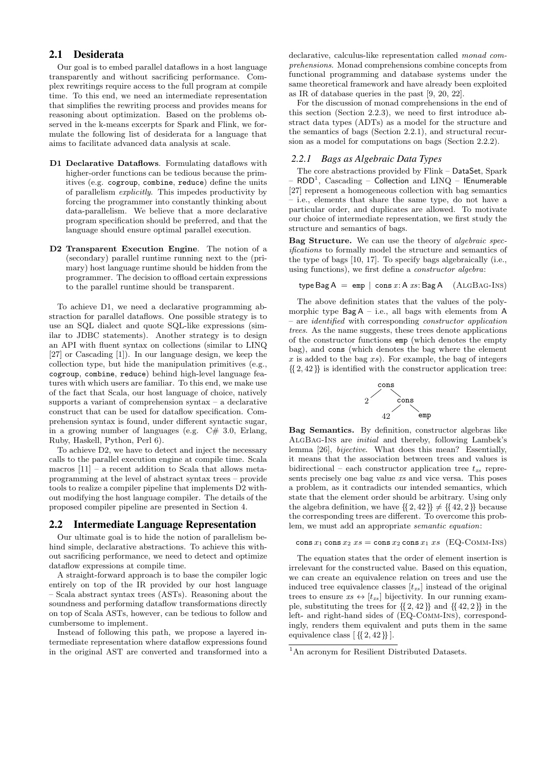# <span id="page-2-0"></span>2.1 Desiderata

Our goal is to embed parallel dataflows in a host language transparently and without sacrificing performance. Complex rewritings require access to the full program at compile time. To this end, we need an intermediate representation that simplifies the rewriting process and provides means for reasoning about optimization. Based on the problems observed in the k-means excerpts for Spark and Flink, we formulate the following list of desiderata for a language that aims to facilitate advanced data analysis at scale.

- <span id="page-2-2"></span>D1 Declarative Dataflows. Formulating dataflows with higher-order functions can be tedious because the primitives (e.g. cogroup, combine, reduce) define the units of parallelism explicitly. This impedes productivity by forcing the programmer into constantly thinking about data-parallelism. We believe that a more declarative program specification should be preferred, and that the language should ensure optimal parallel execution.
- <span id="page-2-3"></span>D2 Transparent Execution Engine. The notion of a (secondary) parallel runtime running next to the (primary) host language runtime should be hidden from the programmer. The decision to offload certain expressions to the parallel runtime should be transparent.

To achieve [D1,](#page-2-2) we need a declarative programming abstraction for parallel dataflows. One possible strategy is to use an SQL dialect and quote SQL-like expressions (similar to JDBC statements). Another strategy is to design an API with fluent syntax on collections (similar to LINQ [\[27\]](#page-12-8) or Cascading [\[1\]](#page-12-1)). In our language design, we keep the collection type, but hide the manipulation primitives (e.g., cogroup, combine, reduce) behind high-level language features with which users are familiar. To this end, we make use of the fact that Scala, our host language of choice, natively supports a variant of comprehension syntax – a declarative construct that can be used for dataflow specification. Comprehension syntax is found, under different syntactic sugar, in a growing number of languages (e.g.  $C# 3.0$ , Erlang, Ruby, Haskell, Python, Perl 6).

To achieve [D2,](#page-2-3) we have to detect and inject the necessary calls to the parallel execution engine at compile time. Scala macros [\[11\]](#page-12-9) – a recent addition to Scala that allows metaprogramming at the level of abstract syntax trees – provide tools to realize a compiler pipeline that implements [D2](#page-2-3) without modifying the host language compiler. The details of the proposed compiler pipeline are presented in Section [4.](#page-6-0)

#### <span id="page-2-1"></span>2.2 Intermediate Language Representation

Our ultimate goal is to hide the notion of parallelism behind simple, declarative abstractions. To achieve this without sacrificing performance, we need to detect and optimize dataflow expressions at compile time.

A straight-forward approach is to base the compiler logic entirely on top of the IR provided by our host language – Scala abstract syntax trees (ASTs). Reasoning about the soundness and performing dataflow transformations directly on top of Scala ASTs, however, can be tedious to follow and cumbersome to implement.

Instead of following this path, we propose a layered intermediate representation where dataflow expressions found in the original AST are converted and transformed into a

declarative, calculus-like representation called monad comprehensions. Monad comprehensions combine concepts from functional programming and database systems under the same theoretical framework and have already been exploited as IR of database queries in the past [\[9,](#page-12-10) [20,](#page-12-11) [22\]](#page-12-7).

For the discussion of monad comprehensions in the end of this section [\(Section 2.2.3\)](#page-4-1), we need to first introduce abstract data types (ADTs) as a model for the structure and the semantics of bags [\(Section 2.2.1\)](#page-2-4), and structural recursion as a model for computations on bags [\(Section 2.2.2\)](#page-3-0).

#### <span id="page-2-4"></span>*2.2.1 Bags as Algebraic Data Types*

The core abstractions provided by Flink – DataSet, Spark –  $\mathsf{RDD}^1,\;\text{Cascading}$  $\mathsf{RDD}^1,\;\text{Cascading}$  $\mathsf{RDD}^1,\;\text{Cascading}$  –  $\textsf{Collection}$  and  $\mathrm{LINQ}$  – <code>lEnumerable</code> [\[27\]](#page-12-8) represent a homogeneous collection with bag semantics – i.e., elements that share the same type, do not have a particular order, and duplicates are allowed. To motivate our choice of intermediate representation, we first study the structure and semantics of bags.

Bag Structure. We can use the theory of algebraic specifications to formally model the structure and semantics of the type of bags [\[10,](#page-12-12) [17\]](#page-12-13). To specify bags algebraically (i.e., using functions), we first define a constructor algebra:

$$
type Bag A = emp | cons x:A xs:Bag A (ALGBAG-INS)
$$

The above definition states that the values of the polymorphic type  $Bag A - i.e., all bags with elements from A$ – are identified with corresponding constructor application trees. As the name suggests, these trees denote applications of the constructor functions emp (which denotes the empty bag), and cons (which denotes the bag where the element  $x$  is added to the bag  $xs$ ). For example, the bag of integers  $\{2, 42\}$  is identified with the constructor application tree:

<span id="page-2-6"></span>

Bag Semantics. By definition, constructor algebras like [AlgBag-Ins](#page-2-6) are initial and thereby, following Lambek's lemma [\[26\]](#page-12-14), bijective. What does this mean? Essentially, it means that the association between trees and values is bidirectional – each constructor application tree  $t_{xs}$  represents precisely one bag value  $xs$  and vice versa. This poses a problem, as it contradicts our intended semantics, which state that the element order should be arbitrary. Using only the algebra definition, we have  $\{ \{2, 42\} \} \neq \{ \{42, 2\} \}$  because the corresponding trees are different. To overcome this problem, we must add an appropriate semantic equation:

<span id="page-2-7"></span>cons  $x_1$  cons  $x_2$   $xs$  = cons  $x_2$  cons  $x_1$   $xs$  (EQ-COMM-INS)

The equation states that the order of element insertion is irrelevant for the constructed value. Based on this equation, we can create an equivalence relation on trees and use the induced tree equivalence classes  $[t_{xs}]$  instead of the original trees to ensure  $xs \leftrightarrow [t_{xs}]$  bijectivity. In our running example, substituting the trees for  $\{2, 42\}$  and  $\{42, 2\}$  in the left- and right-hand sides of ([EQ-Comm-Ins](#page-2-7)), correspondingly, renders them equivalent and puts them in the same equivalence class  $[\{2, 42\}]$ .

<span id="page-2-5"></span><sup>&</sup>lt;sup>1</sup>An acronym for Resilient Distributed Datasets.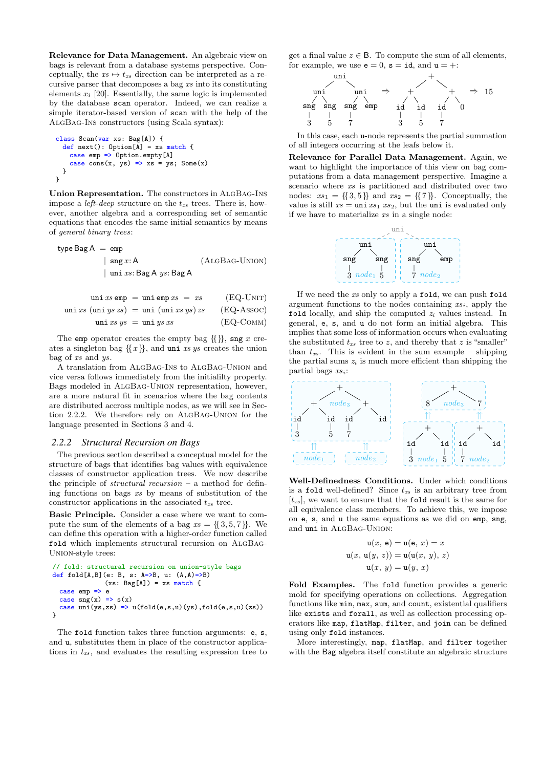Relevance for Data Management. An algebraic view on bags is relevant from a database systems perspective. Conceptually, the  $xs \mapsto t_{xs}$  direction can be interpreted as a recursive parser that decomposes a bag xs into its constituting elements  $x_i$  [\[20\]](#page-12-11). Essentially, the same logic is implemented by the database scan operator. Indeed, we can realize a simple iterator-based version of scan with the help of the [AlgBag-Ins](#page-2-6) constructors (using Scala syntax):

class Scan(var xs: Bag[A]) { def next(): Option[A] = xs match { case emp => Option.empty[A] case cons(x, ys) => xs = ys; Some(x) } }

Union Representation. The constructors in [AlgBag-Ins](#page-2-6) impose a *left-deep* structure on the  $t_{xs}$  trees. There is, however, another algebra and a corresponding set of semantic equations that encodes the same initial semantics by means of general binary trees:

$$
\begin{array}{rcl}\n\text{type Bag A} & = \text{emp} \\
& | & \text{sing } x \colon A \\
& | & \text{uni } xs \colon \text{Bag A } ys \colon \text{Bag A} \\
\end{array} \tag{ALGBAG-UNION}
$$

$$
\text{uni } xs \text{ emp} = \text{uni } \text{emp } xs = xs \qquad (\text{EQ-UNIT})
$$
\n
$$
\text{uni } xs \text{ (uni } ys \text{ zs}) = \text{uni } (\text{uni } xs \text{ ys}) \text{ zs} \qquad (\text{EQ-ASSOC})
$$
\n
$$
\text{uni } xs \text{ ys} = \text{uni } ys \text{ xs} \qquad (\text{EQ-COMM})
$$

The emp operator creates the empty bag  $\{\{\}\}\$ , sng x creates a singleton bag  $\{x\}$ , and uni xs ys creates the union bag of xs and ys.

A translation from [AlgBag-Ins](#page-2-6) to [AlgBag-Union](#page-3-1) and vice versa follows immediately from the initialilty property. Bags modeled in [AlgBag-Union](#page-3-1) representation, however, are a more natural fit in scenarios where the bag contents are distributed accross multiple nodes, as we will see in Section [2.2.2.](#page-3-0) We therefore rely on [AlgBag-Union](#page-3-1) for the language presented in Sections [3](#page-4-0) and [4.](#page-6-0)

#### <span id="page-3-0"></span>*2.2.2 Structural Recursion on Bags*

The previous section described a conceptual model for the structure of bags that identifies bag values with equivalence classes of constructor application trees. We now describe the principle of *structural recursion* – a method for defining functions on bags xs by means of substitution of the constructor applications in the associated  $t_{xs}$  tree.

Basic Principle. Consider a case where we want to compute the sum of the elements of a bag  $xs = \{\{3, 5, 7\}\}\.$  We can define this operation with a higher-order function called fold which implements structural recursion on [AlgBag-](#page-3-1)[Union](#page-3-1)-style trees:

```
// fold: structural recursion on union-style bags
def fold[A,B](e: B, s: A=>B, u: (A, A)=>B)
               (xs: Bag[A]) = xs matchcase emp => e
  case \text{sng}(x) \implies s(x)case uni(ys, zs) \Rightarrow u(fold(e, s, u)(ys), fold(e, s, u)(zs))}
```
The fold function takes three function arguments: e, s, and u, substitutes them in place of the constructor applications in  $t_{xs}$ , and evaluates the resulting expression tree to get a final value  $z \in \mathsf{B}$ . To compute the sum of all elements, for example, we use  $e = 0$ ,  $s = id$ , and  $u = +$ :



In this case, each u-node represents the partial summation of all integers occurring at the leafs below it.

Relevance for Parallel Data Management. Again, we want to highlight the importance of this view on bag computations from a data management perspective. Imagine a scenario where xs is partitioned and distributed over two nodes:  $xs_1 = \{\{3,5\}\}\$ and  $xs_2 = \{\{7\}\}\$ . Conceptually, the value is still  $xs = \text{uni } xs_1 xs_2$ , but the uni is evaluated only if we have to materialize  $xs$  in a single node:



<span id="page-3-1"></span>If we need the xs only to apply a fold, we can push fold argument functions to the nodes containing  $xs_i$ , apply the fold locally, and ship the computed  $z_i$  values instead. In general, e, s, and u do not form an initial algebra. This implies that some loss of information occurs when evaluating the substituted  $t_{xs}$  tree to z, and thereby that z is "smaller" than  $t_{xs}$ . This is evident in the sum example – shipping the partial sums  $z_i$  is much more efficient than shipping the partial bags  $xs_i$ :



Well-Definedness Conditions. Under which conditions is a fold well-defined? Since  $t_{xs}$  is an arbitrary tree from  $[t_{xs}]$ , we want to ensure that the fold result is the same for all equivalence class members. To achieve this, we impose on e, s, and u the same equations as we did on emp, sng, and uni in [AlgBag-Union](#page-3-1):

$$
\mathbf{u}(x, \mathbf{e}) = \mathbf{u}(\mathbf{e}, x) = x
$$

$$
\mathbf{u}(x, \mathbf{u}(y, z)) = \mathbf{u}(\mathbf{u}(x, y), z)
$$

$$
\mathbf{u}(x, y) = \mathbf{u}(y, x)
$$

Fold Examples. The fold function provides a generic mold for specifying operations on collections. Aggregation functions like min, max, sum, and count, existential qualifiers like exists and forall, as well as collection processing operators like map, flatMap, filter, and join can be defined using only fold instances.

More interestingly, map, flatMap, and filter together with the Bag algebra itself constitute an algebraic structure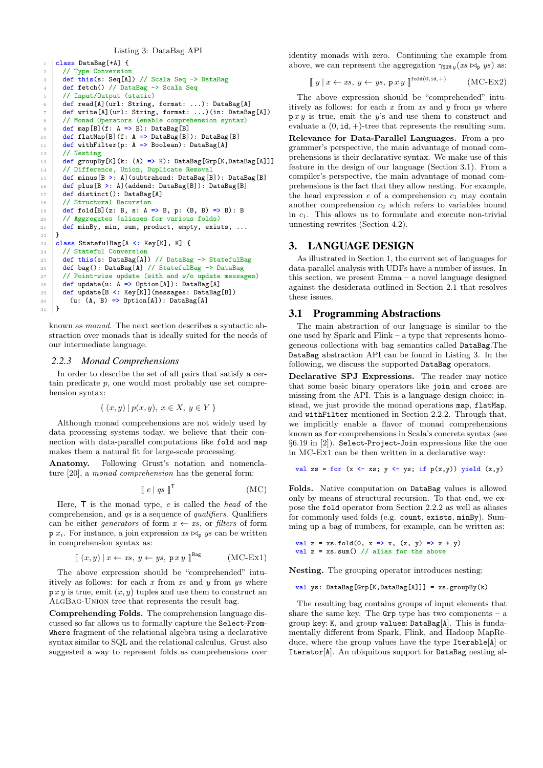#### Listing 3: DataBag API

```
class DataBag[+A] {
2 // Type Conversion
3 def this(s: Seq[A]) // Scala Seq -> DataBag
4 def fetch() // DataBag -> Scala Seq
5 // Input/Output (static)
6 def read[A](url: String, format: ...): DataBag[A]
7 def write[A](url: String, format: ...)(in: DataBag[A])
8 | // Monad Operators (enable comprehension syntax)
 9 def map[B](f: A => B): DataBag[B]
10 def flatMap[B](f: A => DataBag[B]): DataBag[B]
11 def withFilter(p: A => Boolean): DataBag[A]
      // Nesting
13 def groupBy[K](k: (A) \Rightarrow K): DataBag[Grp[K,DataBag[A]]]
14 // Difference, Union, Duplicate Removal
15 def minus[B >: A](subtrahend: DataBag[B]): DataBag[B]<br>16 def plus[B >: A](addend: DataBag[B]): DataBag[B]
16 def plus[B >: A](addend: DataBag[B]): DataBag[B]<br>17 def distinct(): DataBag[A]
\frac{17}{18} def distinct(): DataBag[A]
      // Structural Recursion
19 def fold[B](z: B, s: A => B, p: (B, B) => B): B
20 // Aggregates (aliases for various folds)<br>21 def minBv. min. sum. product. emptv. exis
    def minBy, min, sum, product, empty, exists, ...<br>}
22 }
23 class StatefulBag[A <: Key[K], K] {
24 // Stateful Conversion
25 def this(s: DataBag[A]) // DataBag -> StatefulBag
26 def bag(): DataBag[A] // StatefulBag -> DataBag
27 // Point-wise update (with and w/o update messages)
28 def update(u: A \Rightarrow Option[A]): DataBag[A]
29 def update [B <: Key [K]] (messages: DataBag [B])
30 (u: (A, B) => Option[A]): DataBag[A]
31 \mid }
```
<span id="page-4-10"></span><span id="page-4-9"></span><span id="page-4-8"></span><span id="page-4-7"></span>known as monad. The next section describes a syntactic abstraction over monads that is ideally suited for the needs of our intermediate language.

#### <span id="page-4-1"></span>*2.2.3 Monad Comprehensions*

In order to describe the set of all pairs that satisfy a certain predicate  $p$ , one would most probably use set comprehension syntax:

$$
\{ (x, y) | p(x, y), x \in X, y \in Y \}
$$

Although monad comprehensions are not widely used by data processing systems today, we believe that their connection with data-parallel computations like fold and map makes them a natural fit for large-scale processing.

Anatomy. Following Grust's notation and nomenclature [\[20\]](#page-12-11), a monad comprehension has the general form:

$$
\lbrack\!\lbrack\ e\mid qs\ \rbrack\!\rbrack^{\mathsf{T}} \qquad \qquad (\text{MC})
$$

Here,  $\mathsf{T}$  is the monad type,  $e$  is called the *head* of the comprehension, and qs is a sequence of qualifiers. Qualifiers can be either *generators* of form  $x \leftarrow xs$ , or *filters* of form p  $x_i$ . For instance, a join expression  $xs \bowtie_{p} ys$  can be written in comprehension syntax as:

$$
\left[ (x, y) \mid x \leftarrow xs, y \leftarrow ys, p \, x \, y \right]^{Bag} \qquad (MC-Ex1)
$$

The above expression should be "comprehended" intuitively as follows: for each  $x$  from  $xs$  and  $y$  from  $ys$  where  $p x y$  is true, emit  $(x, y)$  tuples and use them to construct an [AlgBag-Union](#page-3-1) tree that represents the result bag.

Comprehending Folds. The comprehension language discussed so far allows us to formally capture the Select-From-Where fragment of the relational algebra using a declarative syntax similar to SQL and the relational calculus. Grust also suggested a way to represent folds as comprehensions over

identity monads with zero. Continuing the example from above, we can represent the aggregation  $\gamma_{\text{SUM }y}(xs \bowtie_{p} ys)$  as:

$$
\left[ \left[ y \mid x \leftarrow xs, y \leftarrow ys, \, \mathbf{p} \, x \, y \right]^{\text{fold}(0, id, +)} \right] \quad (\text{MC-Ex2})
$$

The above expression should be "comprehended" intuitively as follows: for each  $x$  from  $xs$  and  $y$  from  $ys$  where  $p x y$  is true, emit the y's and use them to construct and evaluate a  $(0, id, +)$ -tree that represents the resulting sum.

Relevance for Data-Parallel Languages. From a programmer's perspective, the main advantage of monad comprehensions is their declarative syntax. We make use of this feature in the design of our language (Section [3.1\)](#page-4-2). From a compiler's perspective, the main advantage of monad comprehensions is the fact that they allow nesting. For example, the head expression  $e$  of a comprehension  $c_1$  may contain another comprehension  $c_2$  which refers to variables bound in  $c_1$ . This allows us to formulate and execute non-trivial unnesting rewrites (Section [4.2\)](#page-7-0).

## <span id="page-4-0"></span>3. LANGUAGE DESIGN

As illustrated in [Section 1,](#page-0-0) the current set of languages for data-parallel analysis with UDFs have a number of issues. In this section, we present Emma – a novel language designed against the desiderata outlined in [Section 2.1](#page-2-0) that resolves these issues.

## <span id="page-4-2"></span>3.1 Programming Abstractions

The main abstraction of our language is similar to the one used by Spark and Flink – a type that represents homogeneous collections with bag semantics called DataBag.The DataBag abstraction API can be found in [Listing 3.](#page-4-3) In the following, we discuss the supported DataBag operators.

Declarative SPJ Expressions. The reader may notice that some basic binary operators like join and cross are missing from the API. This is a language design choice; instead, we just provide the monad operations map, flatMap, and withFilter mentioned in Section [2.2.2.](#page-3-0) Through that, we implicitly enable a flavor of monad comprehensions known as for comprehensions in Scala's concrete syntax (see §6.19 in [\[2\]](#page-12-15)). Select-Project-Join expressions like the one in [MC-Ex1](#page-4-4) can be then written in a declarative way:

```
val zs = for (x \leftarrow xs; y \leftarrow ys; if p(x,y)) yield (x,y)
```
Folds. Native computation on DataBag values is allowed only by means of structural recursion. To that end, we expose the fold operator from Section [2.2.2](#page-3-0) as well as aliases for commonly used folds (e.g. count, exists, minBy). Summing up a bag of numbers, for example, can be written as:

val z = xs.fold(0, x => x, (x, y) => x + y) val z = xs.sum() // alias for the above

<span id="page-4-4"></span>Nesting. The grouping operator introduces nesting:

val ys:  $DataBag[Grp[K,DataBag[A]]] = xs.groupBy(k)$ 

The resulting bag contains groups of input elements that share the same key. The  $Grp$  type has two components – a group key: K, and group values: DataBag[A]. This is fundamentally different from Spark, Flink, and Hadoop MapReduce, where the group values have the type Iterable[A] or Iterator[A]. An ubiquitous support for DataBag nesting al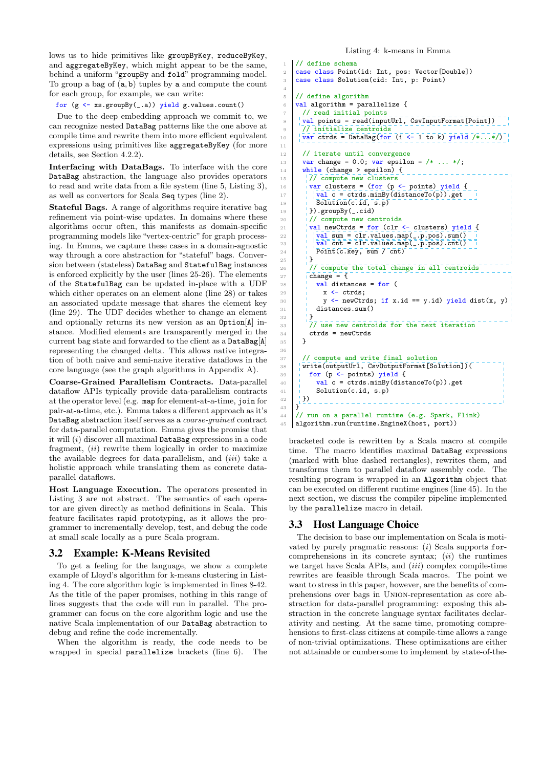lows us to hide primitives like groupByKey, reduceByKey, and aggregateByKey, which might appear to be the same, behind a uniform "groupBy and fold" programming model. To group a bag of (a, b) tuples by a and compute the count for each group, for example, we can write:

for (g <- xs.groupBy(\_.a)) yield g.values.count()

Due to the deep embedding approach we commit to, we can recognize nested DataBag patterns like the one above at compile time and rewrite them into more efficient equivalent expressions using primitives like aggregateByKey (for more details, see [Section 4.2.2\)](#page-7-1).

Interfacing with DataBags. To interface with the core DataBag abstraction, the language also provides operators to read and write data from a file system (line [5,](#page-4-5) [Listing 3\)](#page-4-3), as well as convertors for Scala Seq types (line [2\)](#page-4-6).

Stateful Bags. A range of algorithms require iterative bag refinement via point-wise updates. In domains where these algorithms occur often, this manifests as domain-specific programming models like "vertex-centric" for graph processing. In Emma, we capture these cases in a domain-agnostic way through a core abstraction for "stateful" bags. Conversion between (stateless) DataBag and StatefulBag instances is enforced explicitly by the user (lines [25-](#page-4-7)[26\)](#page-4-8). The elements of the StatefulBag can be updated in-place with a UDF which either operates on an element alone (line [28\)](#page-4-9) or takes an associated update message that shares the element key (line [29\)](#page-4-10). The UDF decides whether to change an element and optionally returns its new version as an Option[A] instance. Modified elements are transparently merged in the current bag state and forwarded to the client as a DataBag[A] representing the changed delta. This allows native integration of both naive and semi-naive iterative dataflows in the core language (see the graph algorithms in Appendix [A\)](#page-13-0).

Coarse-Grained Parallelism Contracts. Data-parallel dataflow APIs typically provide data-parallelism contracts at the operator level (e.g. map for element-at-a-time, join for pair-at-a-time, etc.). Emma takes a different approach as it's DataBag abstraction itself serves as a coarse-grained contract for data-parallel computation. Emma gives the promise that it will  $(i)$  discover all maximal DataBag expressions in a code fragment, *(ii)* rewrite them logically in order to maximize the available degrees for data-parallelism, and  $(iii)$  take a holistic approach while translating them as concrete dataparallel dataflows.

Host Language Execution. The operators presented in [Listing 3](#page-4-3) are not abstract. The semantics of each operator are given directly as method definitions in Scala. This feature facilitates rapid prototyping, as it allows the programmer to incrementally develop, test, and debug the code at small scale locally as a pure Scala program.

# 3.2 Example: K-Means Revisited

To get a feeling for the language, we show a complete example of Lloyd's algorithm for k-means clustering in Listing [4.](#page-5-0) The core algorithm logic is implemented in lines [8-](#page-5-1)[42.](#page-5-2) As the title of the paper promises, nothing in this range of lines suggests that the code will run in parallel. The programmer can focus on the core algorithm logic and use the native Scala implementation of our DataBag abstraction to debug and refine the code incrementally.

When the algorithm is ready, the code needs to be wrapped in special parallelize brackets (line [6\)](#page-5-3). The

#### Listing 4: k-means in Emma

<span id="page-5-3"></span><span id="page-5-1"></span>4

11

<span id="page-5-8"></span><span id="page-5-7"></span><span id="page-5-6"></span><span id="page-5-5"></span> $25$ 

<span id="page-5-9"></span><sup>32</sup> }

36

```
// define schema
2 case class Point(id: Int, pos: Vector[Double])
3 case class Solution(cid: Int, p: Point)
    // define algorithm
    val algorithm = parallelize {
      // read initial points
      val points = read(inputUrl, CsvInputFormat[Point])
9 77 initialize centroids
10 \sqrt{\frac{1}{\text{var}} \cdot \text{trds}} = \text{DataBag}(\text{for} \ (i \leq 1 \text{ to } k) \text{ yield } (*...*)12 // iterate until convergence
13 var change = 0.0; var epsilon = /* \ldots */;14 while (change > epsilon) {
15 // compute new clusters
16 var clusters = (for (p \leftarrow points) yield {
17 \frac{1}{10} \sqrt{val} c = ctrds.minBy(distanceTo(p)).get
18 | \overline{\text{Solution}}(c.id, s.p)_{19} | \}).groupBy(_.cid)
_{20} // compute new centroids
21 val newCtrds = for (clr \leq clusters) yield {<br>
\frac{1}{22} val sum = clr.values.map(_p.pos).sum()
22 val sum = clr.values.map(_.p.pos).sum()
23 val cnt = clr.values.map(_.p.pos).cnt()
24 \overline{\mathsf{Point}(c.\text{key},\text{sum }/\text{cnt})}\frac{26}{27} // compute the total change in all centroids \frac{27}{27} change = {
        change ={
28 val distances = for (
29 x \leftarrow ctrds;
30 y <- newCtrds; if x.id == y.id) yield dist(x, y)
31 distances.sum()
33 // use new centroids for the next iteration
34 ctrds = newCtrds
35 }
37 // compute and write final solution
38 write(outputUrl, CsvOutputFormat[Solution])(
39 \int for (p <- points) yield {
40 \vert \vert val c = ctrds.minBy(distanceTo(p)).get
41 Solution(c.id, s.p)
\begin{array}{c} 42 \\ 43 \end{array} \begin{array}{c} 1 \\ 1 \end{array}43 }
44 // run on a parallel runtime (e.g. Spark, Flink)
45 algorithm.run(runtime.EngineX(host, port))
```
<span id="page-5-4"></span><span id="page-5-2"></span>bracketed code is rewritten by a Scala macro at compile time. The macro identifies maximal DataBag expressions (marked with blue dashed rectangles), rewrites them, and transforms them to parallel dataflow assembly code. The resulting program is wrapped in an Algorithm object that can be executed on different runtime engines (line [45\)](#page-5-4). In the next section, we discuss the compiler pipeline implemented by the parallelize macro in detail.

## 3.3 Host Language Choice

The decision to base our implementation on Scala is motivated by purely pragmatic reasons:  $(i)$  Scala supports forcomprehensions in its concrete syntax;  $(ii)$  the runtimes we target have Scala APIs, and *(iii)* complex compile-time rewrites are feasible through Scala macros. The point we want to stress in this paper, however, are the benefits of comprehensions over bags in Union-representation as core abstraction for data-parallel programming: exposing this abstraction in the concrete language syntax facilitates declarativity and nesting. At the same time, promoting comprehensions to first-class citizens at compile-time allows a range of non-trivial optimizations. These optimizations are either not attainable or cumbersome to implement by state-of-the-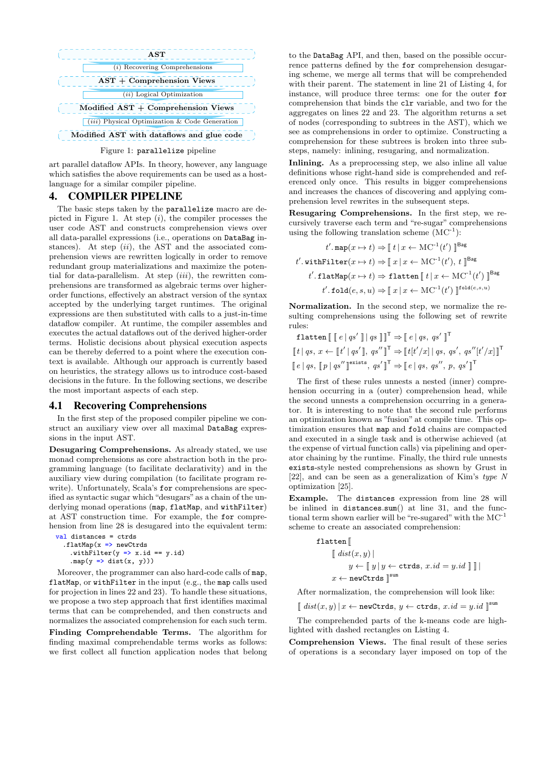<span id="page-6-1"></span>

art parallel dataflow APIs. In theory, however, any language which satisfies the above requirements can be used as a hostlanguage for a similar compiler pipeline.

## <span id="page-6-0"></span>4. COMPILER PIPELINE

The basic steps taken by the parallelize macro are de-picted in Figure [1.](#page-6-1) At step  $(i)$ , the compiler processes the user code AST and constructs comprehension views over all data-parallel expressions (i.e., operations on DataBag instances). At step  $(ii)$ , the AST and the associated comprehension views are rewritten logically in order to remove redundant group materializations and maximize the potential for data-parallelism. At step  $(iii)$ , the rewritten comprehensions are transformed as algebraic terms over higherorder functions, effectively an abstract version of the syntax accepted by the underlying target runtimes. The original expressions are then substituted with calls to a just-in-time dataflow compiler. At runtime, the compiler assembles and executes the actual dataflows out of the derived higher-order terms. Holistic decisions about physical execution aspects can be thereby deferred to a point where the execution context is available. Although our approach is currently based on heuristics, the strategy allows us to introduce cost-based decisions in the future. In the following sections, we describe the most important aspects of each step.

#### <span id="page-6-2"></span>4.1 Recovering Comprehensions

In the first step of the proposed compiler pipeline we construct an auxiliary view over all maximal DataBag expressions in the input AST.

Desugaring Comprehensions. As already stated, we use monad comprehensions as core abstraction both in the programming language (to facilitate declarativity) and in the auxiliary view during compilation (to facilitate program rewrite). Unfortunately, Scala's for comprehensions are specified as syntactic sugar which "desugars" as a chain of the underlying monad operations (map, flatMap, and withFilter) at AST construction time. For example, the for comprehension from line [28](#page-5-5) is desugared into the equivalent term:

```
val distances = ctrds
  .flatMap(x \Rightarrow newCtrds.withFilter(y \Rightarrow x.id == y.id)
     .map(y \Rightarrow dist(x, y)))
```
Moreover, the programmer can also hard-code calls of map, flatMap, or withFilter in the input (e.g., the map calls used for projection in lines [22](#page-5-6) and [23\)](#page-5-7). To handle these situations, we propose a two step approach that first identifies maximal terms that can be comprehended, and then constructs and normalizes the associated comprehension for each such term.

Finding Comprehendable Terms. The algorithm for finding maximal comprehendable terms works as follows: we first collect all function application nodes that belong

to the DataBag API, and then, based on the possible occurrence patterns defined by the for comprehension desugaring scheme, we merge all terms that will be comprehended with their parent. The statement in line [21](#page-5-8) of [Listing 4,](#page-5-0) for instance, will produce three terms: one for the outer for comprehension that binds the clr variable, and two for the aggregates on lines [22](#page-5-6) and [23.](#page-5-7) The algorithm returns a set of nodes (corresponding to subtrees in the AST), which we see as comprehensions in order to optimize. Constructing a comprehension for these subtrees is broken into three substeps, namely: inlining, resugaring, and normalization.

Inlining. As a preprocessing step, we also inline all value definitions whose right-hand side is comprehended and referenced only once. This results in bigger comprehensions and increases the chances of discovering and applying comprehension level rewrites in the subsequent steps.

Resugaring Comprehensions. In the first step, we recursively traverse each term and "re-sugar" comprehensions using the following translation scheme  $(MC^{-1})$ :

$$
t'.\operatorname{map}(x \mapsto t) \Rightarrow \llbracket t \, | \, x \leftarrow \operatorname{MC}^{-1}(t') \, \rrbracket^{\operatorname{Bag}} \\ t'.\operatorname{withFilter}(x \mapsto t) \Rightarrow \llbracket x \, | \, x \leftarrow \operatorname{MC}^{-1}(t'),\, t \, \rrbracket^{\operatorname{Bag}} \\ t'.\operatorname{flatMap}(x \mapsto t) \Rightarrow \operatorname{flatten}\llbracket t \, | \, x \leftarrow \operatorname{MC}^{-1}(t') \, \rrbracket^{\operatorname{Bag}} \\ t'.\operatorname{fold}(e,s,u) \Rightarrow \llbracket x \, | \, x \leftarrow \operatorname{MC}^{-1}(t') \, \rrbracket^{\operatorname{fold}(e,s,u)}
$$

Normalization. In the second step, we normalize the resulting comprehensions using the following set of rewrite rules:

$$
\begin{aligned}\n\text{flatten} \left[ \begin{array}{c} \lbrack \!\lbrack \!\lbrack \!\lbrack e \rbrack \!\lbrack \!\lbrack g s \rbrack \!\rbrack \!\rbrack \!\rbrack \right] \rbrack q s \left. \!\lbrack \!\lbrack \!\lbrack \!\lbrack \!\lbrack \!\lbrack g s \rbrack \!\rbrack \!\rbrack \!\rbrack \right] \rbrack q s' \left. \!\lbrack \!\lbrack \!\lbrack \!\lbrack f \rbrack \!\rbrack \!\rbrack q s' \rbrack \!\rbrack \!\rbrack \right] \rbrack q s' \left. \!\lbrack \!\lbrack \!\lbrack f \rbrack \!\rbrack \!\rbrack q s' \rbrack \!\rbrack \!\rbrack \right] \rbrack q s' \left. \!\lbrack \!\lbrack \!\lbrack f \rbrack \!\rbrack \!\rbrack q s' \rbrack \!\rbrack \!\rbrack q s' \rbrack \!\rbrack \!\rbrack q s' \rbrack \!\rbrack \!\rbrack \rbrack q s' \rbrack \!\rbrack \!\rbrack q s, q s', q s' \rbrack \!\rbrack \!\rbrack \!\rbrack \!\rbrack \!\rbrack \!\rbrack q s \rbrack \!\rbrack \!\rbrack q s' \rbrack \!\rbrack \!\rbrack \!\rbrack \!\rbrack q s' \rbrack \!\rbrack \!\rbrack \!\rbrack q s' \rbrack \!\rbrack \!\rbrack q s \rbrack \!\rbrack q s' \rbrack \!\rbrack p, q s' \rbrack \!\rbrack \!\rbrack\n\end{aligned}
$$

The first of these rules unnests a nested (inner) comprehension occurring in a (outer) comprehension head, while the second unnests a comprehension occurring in a generator. It is interesting to note that the second rule performs an optimization known as "fusion" at compile time. This optimization ensures that map and fold chains are compacted and executed in a single task and is otherwise achieved (at the expense of virtual function calls) via pipelining and operator chaining by the runtime. Finally, the third rule unnests exists-style nested comprehensions as shown by Grust in [\[22\]](#page-12-7), and can be seen as a generalization of Kim's type N optimization [\[25\]](#page-12-16).

Example. The distances expression from line [28](#page-5-5) will be inlined in distances.sum() at line [31,](#page-5-9) and the functional term shown earlier will be "re-sugared" with the MC-1 scheme to create an associated comprehension:

$$
\begin{aligned} \texttt{flatten} \, &\big[\!\!\!\big[\! \begin{array}{c} \texttt{dist}(x,y) \!\!\!\big] \\ y \leftarrow \,\; &\big[\!\!\!\big[\, y \,|\, y \leftarrow \texttt{crds}, \, x.id = y.id \,\;\big]\!\!\!\big]\,\big]\!\!\!\big]\!\!\big] \\ x \leftarrow \texttt{newCrds} \, &\big[\!\!\big]^{\texttt{sum}} \end{array} \end{aligned}
$$

After normalization, the comprehension will look like:

 $[[dist(x, y) | x \leftarrow newCtrds, y \leftarrow crds, x.id = y.id []<sup>sum</sup>$ 

The comprehended parts of the k-means code are highlighted with dashed rectangles on [Listing 4.](#page-5-0)

Comprehension Views. The final result of these series of operations is a secondary layer imposed on top of the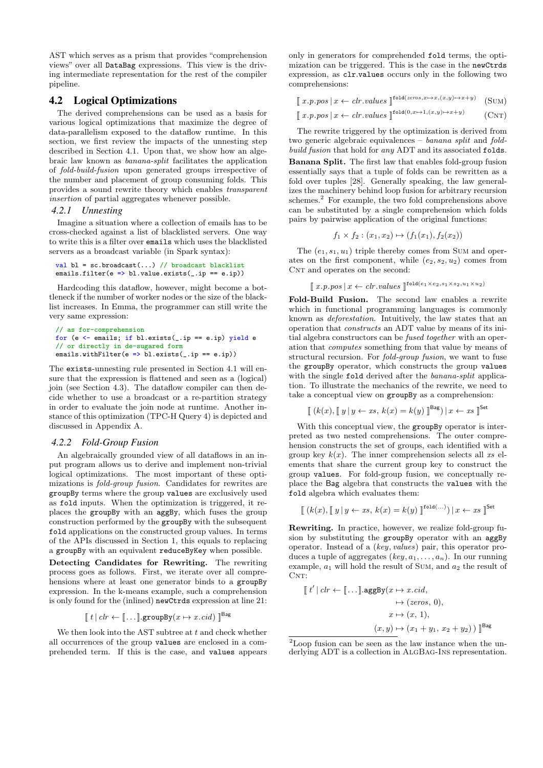AST which serves as a prism that provides "comprehension views" over all DataBag expressions. This view is the driving intermediate representation for the rest of the compiler pipeline.

## <span id="page-7-0"></span>4.2 Logical Optimizations

The derived comprehensions can be used as a basis for various logical optimizations that maximize the degree of data-parallelism exposed to the dataflow runtime. In this section, we first review the impacts of the unnesting step described in Section [4.1.](#page-6-2) Upon that, we show how an algebraic law known as banana-split facilitates the application of fold-build-fusion upon generated groups irrespective of the number and placement of group consuming folds. This provides a sound rewrite theory which enables transparent insertion of partial aggregates whenever possible.

### <span id="page-7-5"></span>*4.2.1 Unnesting*

Imagine a situation where a collection of emails has to be cross-checked against a list of blacklisted servers. One way to write this is a filter over emails which uses the blacklisted servers as a broadcast variable (in Spark syntax):

val  $bl = sc.broadcast(...)$  // broadcast blacklist emails.filter(e => bl.value.exists(\_.ip == e.ip))

Hardcoding this dataflow, however, might become a bottleneck if the number of worker nodes or the size of the blacklist increases. In Emma, the programmer can still write the very same expression:

```
// as for-comprehension
for (e \leftarrow emails; if bl.exists(_.ip == e.ip) yield e
// or directly in de-sugared form
emails.withFilter(e => bl.exists(_.ip == e.ip))
```
The exists-unnesting rule presented in Section [4.1](#page-6-2) will ensure that the expression is flattened and seen as a (logical) join (see Section [4.3\)](#page-8-0). The dataflow compiler can then decide whether to use a broadcast or a re-partition strategy in order to evaluate the join node at runtime. Another instance of this optimization (TPC-H Query 4) is depicted and discussed in Appendix [A.](#page-13-0)

#### <span id="page-7-1"></span>*4.2.2 Fold-Group Fusion*

An algebraically grounded view of all dataflows in an input program allows us to derive and implement non-trivial logical optimizations. The most important of these optimizations is fold-group fusion. Candidates for rewrites are groupBy terms where the group values are exclusively used as fold inputs. When the optimization is triggered, it replaces the groupBy with an aggBy, which fuses the group construction performed by the groupBy with the subsequent fold applications on the constructed group values. In terms of the APIs discussed in Section [1,](#page-0-0) this equals to replacing a groupBy with an equivalent reduceByKey when possible.

Detecting Candidates for Rewriting. The rewriting process goes as follows. First, we iterate over all comprehensions where at least one generator binds to a groupBy expression. In the k-means example, such a comprehension is only found for the (inlined) newCtrds expression at line [21:](#page-5-8)

$$
\llbracket t \mid \text{clr} \leftarrow \llbracket \dots \rrbracket \text{.groupBy}(x \mapsto x.\text{cid}) \rrbracket^{\text{Bag}}
$$

We then look into the AST subtree at  $t$  and check whether all occurrences of the group values are enclosed in a comprehended term. If this is the case, and values appears only in generators for comprehended fold terms, the optimization can be triggered. This is the case in the newCtrds expression, as clr.values occurs only in the following two comprehensions:

 $\left[ x.p.pos \right] x \leftarrow \text{clr}.\text{values } \left[ \left[ \text{red}(\text{zeros}, x \mapsto x, (x,y) \mapsto x+y) \right] \right]$  $(SUM)$ 

<span id="page-7-4"></span><span id="page-7-3"></span>
$$
\int x.p.pos \mid x \leftarrow \text{clr.values } \int^{\text{fold}(0, x \mapsto 1, (x, y) \mapsto x + y)} (\text{CNT})
$$

The rewrite triggered by the optimization is derived from two generic algebraic equivalences – banana split and foldbuild fusion that hold for any ADT and its associated folds. Banana Split. The first law that enables fold-group fusion essentially says that a tuple of folds can be rewritten as a fold over tuples [\[28\]](#page-12-17). Generally speaking, the law generalizes the machinery behind loop fusion for arbitrary recursion schemes.<sup>[2](#page-7-2)</sup> For example, the two fold comprehensions above can be substituted by a single comprehension which folds pairs by pairwise application of the original functions:

$$
f_1 \times f_2 : (x_1, x_2) \mapsto (f_1(x_1), f_2(x_2))
$$

The  $(e_1, s_1, u_1)$  triple thereby comes from [Sum](#page-7-3) and operates on the first component, while  $(e_2, s_2, u_2)$  comes from CNT and operates on the second:

```
[\![\;x.p.\textit{pos}\;|\;x \leftarrow \textit{clr.values}\;]\!]^{\texttt{fold}(e_1 \times e_2, s_1 \times s_2, u_1 \times u_2)}
```
Fold-Build Fusion. The second law enables a rewrite which in functional programming languages is commonly known as deforestation. Intuitively, the law states that an operation that constructs an ADT value by means of its initial algebra constructors can be fused together with an operation that computes something from that value by means of structural recursion. For fold-group fusion, we want to fuse the groupBy operator, which constructs the group values with the single fold derived after the banana-split application. To illustrate the mechanics of the rewrite, we need to take a conceptual view on groupBy as a comprehension:

$$
\left[ (k(x), [y \mid y \leftarrow xs, k(x) = k(y)) \right]^{\text{Bag}}) \mid x \leftarrow xs \right]^{\text{Set}}
$$

With this conceptual view, the groupBy operator is interpreted as two nested comprehensions. The outer comprehension constructs the set of groups, each identified with a group key  $k(x)$ . The inner comprehension selects all xs elements that share the current group key to construct the group values. For fold-group fusion, we conceptually replace the Bag algebra that constructs the values with the fold algebra which evaluates them:

$$
\left[ (k(x), [y \mid y \leftarrow xs, k(x) = k(y) ]^{\text{fold}(\dots)}) \mid x \leftarrow xs \right]^{Set}
$$

Rewriting. In practice, however, we realize fold-group fusion by substituting the groupBy operator with an aggBy operator. Instead of a (key, values) pair, this operator produces a tuple of aggregates  $(key, a_1, \ldots, a_n)$ . In our running example,  $a_1$  will hold the result of [Sum](#page-7-3), and  $a_2$  the result of  $CNT:$ 

$$
\llbracket t' \mid \text{clr} \leftarrow \llbracket \dots \rrbracket \text{.aggBy}(x \mapsto x.\text{cid},
$$

$$
\mapsto (zeros, 0),
$$

$$
x \mapsto (x, 1),
$$

$$
(x, y) \mapsto (x_1 + y_1, x_2 + y_2) ) \rrbracket^{\text{Bag}}
$$

<span id="page-7-2"></span><sup>2</sup>Loop fusion can be seen as the law instance when the underlying ADT is a collection in ALGBAG-INS representation.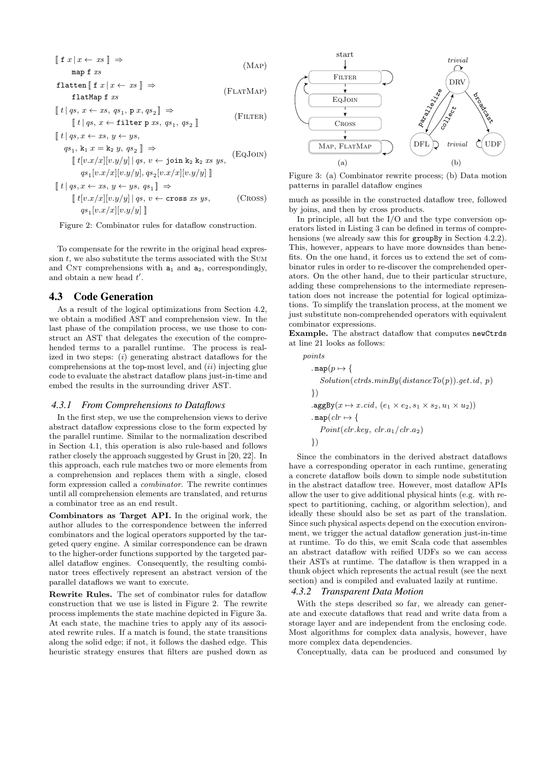<span id="page-8-1"></span>
$$
\begin{aligned}\n\left[ \begin{array}{c} \text{f } x \mid x \leftarrow xs \end{array} \right] &\Rightarrow \\
& \text{map } f \; xs \\
\text{flatten} \parallel \text{f } x \mid x \leftarrow xs \parallel \Rightarrow\n\end{aligned}\n\end{aligned}
$$
\n(MAP)

$$
\begin{array}{c}\n\text{factor} \, \parallel \, 1 \, x \mid x \leftarrow x \, s \parallel \rightarrow \\
\text{flatMap} \, \text{f} \, x \, s\n\end{array} \tag{FLATMAP}
$$

$$
\begin{aligned} \n\llbracket t \mid qs, \, x \leftarrow xs, \, qs_1, \, \mathbf{p} \, x, \, qs_2 \, \rrbracket &\Rightarrow \\
\llbracket t \mid qs, \, x \leftarrow \text{filter p} \, xs, \, qs_1, \, qs_2 \, \rrbracket\n\end{aligned} \tag{FlITER}
$$

$$
\[ t | qs, x \leftarrow xs, y \leftarrow ys,qs1, k1 x = k2 y, qs2 ] \Rightarrow\[ t[v.x/x][v.y/y] | qs, v \leftarrow join k2 k2 xs ys,qs1[v.x/x][v.y/y], qs2[v.x/x][v.y/y] ]
$$
\n
$$
\]
$$

$$
\[ t \mid qs, x \leftarrow xs, y \leftarrow ys, qs_1] \Rightarrow
$$
  

$$
\[ t \left[ v.x/x \right] \left[ v.y/y \right] \mid qs, v \leftarrow \text{cross} \; xs \; ys, \qquad \text{(Cross)}
$$
  

$$
qs_1[v.x/x] \left[ v.y/y \right] \]
$$

Figure 2: Combinator rules for dataflow construction.

To compensate for the rewrite in the original head expression  $t$ , we also substitute the terms associated with the SUM and CNT comprehensions with  $a_1$  and  $a_2$ , correspondingly, and obtain a new head  $t'$ .

## <span id="page-8-0"></span>4.3 Code Generation

As a result of the logical optimizations from Section [4.2,](#page-7-0) we obtain a modified AST and comprehension view. In the last phase of the compilation process, we use those to construct an AST that delegates the execution of the comprehended terms to a parallel runtime. The process is realized in two steps:  $(i)$  generating abstract dataflows for the comprehensions at the top-most level, and  $(ii)$  injecting glue code to evaluate the abstract dataflow plans just-in-time and embed the results in the surrounding driver AST.

#### <span id="page-8-8"></span>*4.3.1 From Comprehensions to Dataflows*

In the first step, we use the comprehension views to derive abstract dataflow expressions close to the form expected by the parallel runtime. Similar to the normalization described in Section [4.1,](#page-6-2) this operation is also rule-based and follows rather closely the approach suggested by Grust in [\[20,](#page-12-11) [22\]](#page-12-7). In this approach, each rule matches two or more elements from a comprehension and replaces them with a single, closed form expression called a combinator. The rewrite continues until all comprehension elements are translated, and returns a combinator tree as an end result.

Combinators as Target API. In the original work, the author alludes to the correspondence between the inferred combinators and the logical operators supported by the targeted query engine. A similar correspondence can be drawn to the higher-order functions supported by the targeted parallel dataflow engines. Consequently, the resulting combinator trees effectively represent an abstract version of the parallel dataflows we want to execute.

Rewrite Rules. The set of combinator rules for dataflow construction that we use is listed in [Figure 2.](#page-8-1) The rewrite process implements the state machine depicted in [Figure 3a.](#page-8-2) At each state, the machine tries to apply any of its associated rewrite rules. If a match is found, the state transitions along the solid edge; if not, it follows the dashed edge. This heuristic strategy ensures that filters are pushed down as

<span id="page-8-7"></span><span id="page-8-6"></span><span id="page-8-3"></span><span id="page-8-2"></span>

<span id="page-8-4"></span>Figure 3: (a) Combinator rewrite process; (b) Data motion patterns in parallel dataflow engines

<span id="page-8-5"></span>much as possible in the constructed dataflow tree, followed by joins, and then by cross products.

In principle, all but the  $I/O$  and the type conversion operators listed in [Listing 3](#page-4-3) can be defined in terms of comprehensions (we already saw this for **groupBy** in Section [4.2.2\)](#page-7-1). This, however, appears to have more downsides than benefits. On the one hand, it forces us to extend the set of combinator rules in order to re-discover the comprehended operators. On the other hand, due to their particular structure, adding these comprehensions to the intermediate representation does not increase the potential for logical optimizations. To simplify the translation process, at the moment we just substitute non-comprehended operators with equivalent combinator expressions.

Example. The abstract dataflow that computes newCtrds at line [21](#page-5-8) looks as follows:

$$
points
$$
\n
$$
\n
$$
\n
$$
\n
$$
\n
$$
\n
$$
\n
$$
\n
$$
\n
$$
\n
$$
\n
$$
\n
$$
\n
$$
\n
$$
\n
$$
\n
$$
\n
$$
\n
$$
\n
$$
\n
$$
\n
$$
\n
$$
\n
$$
\n
$$
\n
$$
\n
$$
\n
$$
\n
$$
\n
$$
\n
$$
\n
$$
\n
$$
\n
$$
\n
$$
\n
$$
\n
$$
\n
$$
\n
$$
\n
$$
\n
$$
\n
$$
\n
$$
\n
$$
\n
$$
\n
$$
\n
$$
\n
$$
\n
$$
\n
$$
\n
$$
\n
$$
\n
$$
\n
$$
\n
$$
\n
$$
\n
$$
\n
$$
\n
$$
\n
$$
\n
$$
\n
$$
\n
$$
\n
$$
\n
$$
\n
$$
\n
$$
\n
$$
\n
$$
\n
$$
\n
$$
\n
$$
\n
$$
\n
$$
\n
$$
\n
$$
\n
$$
\n
$$
\n
$$
\n
$$
\n
$$
\n
$$
\n
$$
\n
$$
\n
$$
\n
$$
\n
$$
\n
$$
\n
$$
\n
$$
\n
$$
\n
$$
\n
$$
\n
$$
\n
$$
\n
$$
\n
$$
\n
$$
\n
$$
\n
$$
\n
$$
\n
$$
\n
$$
\n
$$
\n
$$
\n
$$
\n
$$
\n
$$
\n<math display="block</math>
$$
$$
$$
$$
$$
$$
$$
$$
$$
$$
$$
$$
$$
$$
$$
$$
$$
$$
$$
$$
$$
$$
$$
$$
$$
$$
$$
$$
$$
$$
$$
$$
$$
$$
$$
$$
$$
$$
$$
$$
$$
$$
$$
$$
$$
$$
$$
$$
$$
$$
$$
$$
$$
$$
$$
$$
$$
$$
$$
$$
$$
$$
$$
$$
$$
$$
$$
$$
$$
$$
$$
$$
$$
$$
$$
$$
$$
$$
$$
$$
$$
$$
$$
$$
$$
$$
$$
$$
$$
$$
$$
$$
$$
$$
$$
$$
$$
$$
$$
$$
$$
$$
$$
$$
$$
$$
$$

Since the combinators in the derived abstract dataflows have a corresponding operator in each runtime, generating a concrete dataflow boils down to simple node substitution in the abstract dataflow tree. However, most dataflow APIs allow the user to give additional physical hints (e.g. with respect to partitioning, caching, or algorithm selection), and ideally these should also be set as part of the translation. Since such physical aspects depend on the execution environment, we trigger the actual dataflow generation just-in-time at runtime. To do this, we emit Scala code that assembles an abstract dataflow with reified UDFs so we can access their ASTs at runtime. The dataflow is then wrapped in a thunk object which represents the actual result (see the next section) and is compiled and evaluated lazily at runtime.

#### *4.3.2 Transparent Data Motion*

With the steps described so far, we already can generate and execute dataflows that read and write data from a storage layer and are independent from the enclosing code. Most algorithms for complex data analysis, however, have more complex data dependencies.

Conceptually, data can be produced and consumed by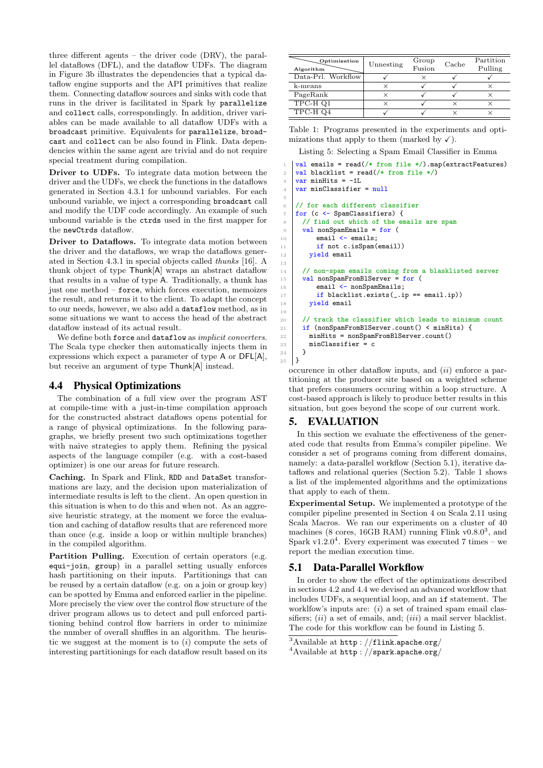three different agents – the driver code (DRV), the parallel dataflows (DFL), and the dataflow UDFs. The diagram in [Figure 3b](#page-8-2) illustrates the dependencies that a typical dataflow engine supports and the API primitives that realize them. Connecting dataflow sources and sinks with code that runs in the driver is facilitated in Spark by parallelize and collect calls, correspondingly. In addition, driver variables can be made available to all dataflow UDFs with a broadcast primitive. Equivalents for parallelize, broadcast and collect can be also found in Flink. Data dependencies within the same agent are trivial and do not require special treatment during compilation.

Driver to UDFs. To integrate data motion between the driver and the UDFs, we check the functions in the dataflows generated in [Section 4.3.1](#page-8-8) for unbound variables. For each unbound variable, we inject a corresponding broadcast call and modify the UDF code accordingly. An example of such unbound variable is the ctrds used in the first mapper for the newCtrds dataflow.

Driver to Dataflows. To integrate data motion between the driver and the dataflows, we wrap the dataflows generated in [Section 4.3.1](#page-8-8) in special objects called thunks [\[16\]](#page-12-18). A thunk object of type Thunk[A] wraps an abstract dataflow that results in a value of type A. Traditionally, a thunk has just one method – force, which forces execution, memoizes the result, and returns it to the client. To adapt the concept to our needs, however, we also add a dataflow method, as in some situations we want to access the head of the abstract dataflow instead of its actual result.

We define both force and dataflow as *implicit converters*. The Scala type checker then automatically injects them in expressions which expect a parameter of type A or DFL[A], but receive an argument of type Thunk[A] instead.

## <span id="page-9-5"></span>4.4 Physical Optimizations

The combination of a full view over the program AST at compile-time with a just-in-time compilation approach for the constructed abstract dataflows opens potential for a range of physical optimizations. In the following paragraphs, we briefly present two such optimizations together with naive strategies to apply them. Refining the pysical aspects of the language compiler (e.g. with a cost-based optimizer) is one our areas for future research.

Caching. In Spark and Flink, RDD and DataSet transformations are lazy, and the decision upon materialization of intermediate results is left to the client. An open question in this situation is when to do this and when not. As an aggresive heuristic strategy, at the moment we force the evaluation and caching of dataflow results that are referenced more than once (e.g. inside a loop or within multiple branches) in the compiled algorithm.

Partition Pulling. Execution of certain operators (e.g. equi-join, group) in a parallel setting usually enforces hash partitioning on their inputs. Partitionings that can be reused by a certain dataflow (e.g. on a join or group key) can be spotted by Emma and enforced earlier in the pipeline. More precisely the view over the control flow structure of the driver program allows us to detect and pull enforced partitioning behind control flow barriers in order to minimize the number of overall shuffles in an algorithm. The heuristic we suggest at the moment is to  $(i)$  compute the sets of interesting partitionings for each dataflow result based on its

<span id="page-9-2"></span>

| Optimization<br>Algorithm | Unnesting | Group<br>Fusion | Cache | Partition<br>Pulling |
|---------------------------|-----------|-----------------|-------|----------------------|
| Data-Prl. Workflow        |           |                 |       |                      |
| k-means                   |           |                 |       |                      |
| PageRank                  |           |                 |       |                      |
| $TPC-HQ1$                 |           |                 |       |                      |
| TPC-HQ4                   |           |                 |       |                      |

Table 1: Programs presented in the experiments and optimizations that apply to them (marked by  $\checkmark$ ).

<span id="page-9-7"></span><span id="page-9-6"></span>Listing 5: Selecting a Spam Email Classifier in Emma

```
val emails = read(\frac{*}{time + 1}).map(extractFeatures)
    val blacklist = read(/* from file */)
    var minHits = -1Lvar minClassifier = null
6 // for each different classifier
   for (c \leftarrow SpamClassifiers) {
     // find out which of the emails are spam
9 val nonSpamEmails = for (
10 \vert email \vert emails;
_{11} if not c.isSpam(email))
12 vield email
14 // non-spam emails coming from a blasklisted server
15 val nonSpamFromBlServer = for (
16 email \leq nonSpamEmails;
17 if blacklist.exists(..ip == email.ip))
18 yield email
20 // track the classifier which leads to minimum count
21 if (nonSpamFromBlServer.count() < minHits) {
22 minHits = nonSpamFromBlServer.count()
23 minClassifier = c<br>
24 }
25 \mid }
```
<span id="page-9-10"></span>occurence in other dataflow inputs, and (ii) enforce a partitioning at the producer site based on a weighted scheme that prefers consumers occuring within a loop structure. A cost-based approach is likely to produce better results in this situation, but goes beyond the scope of our current work.

## <span id="page-9-0"></span>5. EVALUATION

<span id="page-9-11"></span><span id="page-9-9"></span>5

<span id="page-9-13"></span><span id="page-9-12"></span>13

<span id="page-9-14"></span>19

<sup>24</sup> }

In this section we evaluate the effectiveness of the generated code that results from Emma's compiler pipeline. We consider a set of programs coming from different domains, namely: a data-parallel workflow [\(Section 5.1\)](#page-9-1), iterative dataflows and relational queries [\(Section 5.2\)](#page-10-0). [Table 1](#page-9-2) shows a list of the implemented algorithms and the optimizations that apply to each of them.

Experimental Setup. We implemented a prototype of the compiler pipeline presented in [Section 4](#page-6-0) on Scala 2.11 using Scala Macros. We ran our experiments on a cluster of 40 machines (8 cores, 16GB RAM) running Flink  $v0.8.0^3$  $v0.8.0^3$ , and Spark v1.2.0<sup>[4](#page-9-4)</sup>. Every experiment was executed 7 times – we report the median execution time.

# <span id="page-9-1"></span>5.1 Data-Parallel Workflow

In order to show the effect of the optimizations described in sections [4.2](#page-7-0) and [4.4](#page-9-5) we devised an advanced workflow that includes UDFs, a sequential loop, and an if statement. The worklfow's inputs are:  $(i)$  a set of trained spam email classifiers;  $(ii)$  a set of emails, and;  $(iii)$  a mail server blacklist. The code for this workflow can be found in [Listing 5.](#page-9-6)

<span id="page-9-3"></span> $3A$ vailable at http://flink.apache.org/

<span id="page-9-4"></span> $4$ Available at http://spark.apache.org/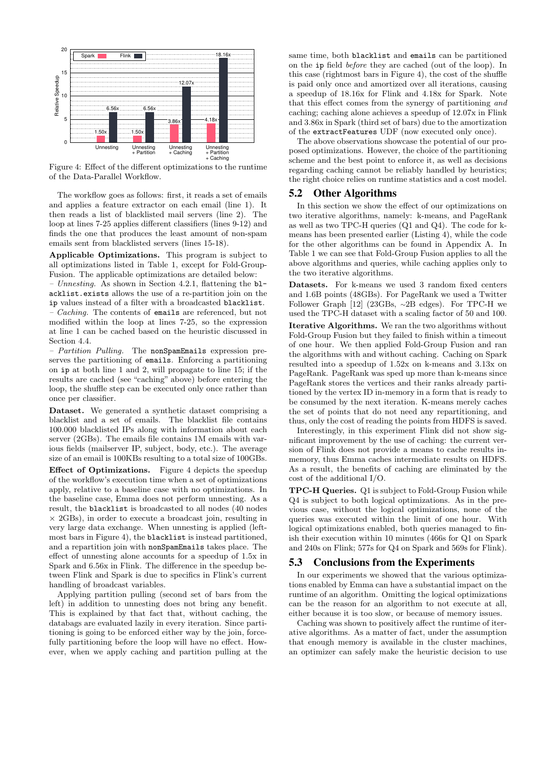<span id="page-10-1"></span>

Figure 4: Effect of the different optimizations to the runtime of the Data-Parallel Workflow.

The workflow goes as follows: first, it reads a set of emails and applies a feature extractor on each email (line [1\)](#page-9-7). It then reads a list of blacklisted mail servers (line [2\)](#page-9-8). The loop at lines [7-](#page-9-9)[25](#page-9-10) applies different classifiers (lines [9-](#page-9-11)[12\)](#page-9-12) and finds the one that produces the least amount of non-spam emails sent from blacklisted servers (lines [15-](#page-9-13)[18\)](#page-9-14).

Applicable Optimizations. This program is subject to all optimizations listed in [Table 1,](#page-9-2) except for Fold-Group-Fusion. The applicable optimizations are detailed below:

– Unnesting. As shown in Section [4.2.1,](#page-7-5) flattening the  $b1$ – acklist.exists allows the use of a re-partition join on the ip values instead of a filter with a broadcasted blacklist.

– Caching. The contents of emails are referenced, but not modified within the loop at lines [7-](#page-9-9)[25,](#page-9-10) so the expression at line [1](#page-9-7) can be cached based on the heuristic discussed in Section [4.4.](#page-9-5)

– Partition Pulling. The nonSpamEmails expression preserves the partitioning of emails. Enforcing a partitioning on ip at both line [1](#page-9-7) and [2,](#page-9-8) will propagate to line [15;](#page-9-13) if the results are cached (see "caching" above) before entering the loop, the shuffle step can be executed only once rather than once per classifier.

Dataset. We generated a synthetic dataset comprising a blacklist and a set of emails. The blacklist file contains 100.000 blacklisted IPs along with information about each server (2GBs). The emails file contains 1M emails with various fields (mailserver IP, subject, body, etc.). The average size of an email is 100KBs resulting to a total size of 100GBs.

Effect of Optimizations. [Figure 4](#page-10-1) depicts the speedup of the workflow's execution time when a set of optimizations apply, relative to a baseline case with no optimizations. In the baseline case, Emma does not perform unnesting. As a result, the blacklist is broadcasted to all nodes (40 nodes  $\times$  2GBs), in order to execute a broadcast join, resulting in very large data exchange. When unnesting is applied (leftmost bars in [Figure 4\)](#page-10-1), the blacklist is instead partitioned, and a repartition join with nonSpamEmails takes place. The effect of unnesting alone accounts for a speedup of 1.5x in Spark and 6.56x in Flink. The difference in the speedup between Flink and Spark is due to specifics in Flink's current handling of broadcast variables.

Applying partition pulling (second set of bars from the left) in addition to unnesting does not bring any benefit. This is explained by that fact that, without caching, the databags are evaluated lazily in every iteration. Since partitioning is going to be enforced either way by the join, forcefully partitioning before the loop will have no effect. However, when we apply caching and partition pulling at the same time, both blacklist and emails can be partitioned on the ip field before they are cached (out of the loop). In this case (rightmost bars in [Figure 4\)](#page-10-1), the cost of the shuffle is paid only once and amortized over all iterations, causing a speedup of 18.16x for Flink and 4.18x for Spark. Note that this effect comes from the synergy of partitioning and caching; caching alone achieves a speedup of 12.07x in Flink and 3.86x in Spark (third set of bars) due to the amortization of the extractFeatures UDF (now executed only once).

The above observations showcase the potential of our proposed optimizations. However, the choice of the partitioning scheme and the best point to enforce it, as well as decisions regarding caching cannot be reliably handled by heuristics; the right choice relies on runtime statistics and a cost model.

## <span id="page-10-0"></span>5.2 Other Algorithms

In this section we show the effect of our optimizations on two iterative algorithms, namely: k-means, and PageRank as well as two TPC-H queries (Q1 and Q4). The code for kmeans has been presented earlier [\(Listing 4\)](#page-5-0), while the code for the other algorithms can be found in [Appendix A.](#page-13-0) In [Table 1](#page-9-2) we can see that Fold-Group Fusion applies to all the above algorithms and queries, while caching applies only to the two iterative algorithms.

Datasets. For k-means we used 3 random fixed centers and 1.6B points (48GBs). For PageRank we used a Twitter Follower Graph [\[12\]](#page-12-19) (23GBs, <sup>∼</sup>2B edges). For TPC-H we used the TPC-H dataset with a scaling factor of 50 and 100. Iterative Algorithms. We ran the two algorithms without Fold-Group Fusion but they failed to finish within a timeout of one hour. We then applied Fold-Group Fusion and ran the algorithms with and without caching. Caching on Spark resulted into a speedup of 1.52x on k-means and 3.13x on PageRank. PageRank was sped up more than k-means since PageRank stores the vertices and their ranks already partitioned by the vertex ID in-memory in a form that is ready to be consumed by the next iteration. K-means merely caches the set of points that do not need any repartitioning, and thus, only the cost of reading the points from HDFS is saved.

Interestingly, in this experiment Flink did not show significant improvement by the use of caching: the current version of Flink does not provide a means to cache results inmemory, thus Emma caches intermediate results on HDFS. As a result, the benefits of caching are eliminated by the cost of the additional I/O.

TPC-H Queries. Q1 is subject to Fold-Group Fusion while Q4 is subject to both logical optimizations. As in the previous case, without the logical optimizations, none of the queries was executed within the limit of one hour. With logical optimizations enabled, both queries managed to finish their execution within 10 minutes (466s for Q1 on Spark and 240s on Flink; 577s for Q4 on Spark and 569s for Flink).

## 5.3 Conclusions from the Experiments

In our experiments we showed that the various optimizations enabled by Emma can have a substantial impact on the runtime of an algorithm. Omitting the logical optimizations can be the reason for an algorithm to not execute at all, either because it is too slow, or because of memory issues.

Caching was shown to positively affect the runtime of iterative algorithms. As a matter of fact, under the assumption that enough memory is available in the cluster machines, an optimizer can safely make the heuristic decision to use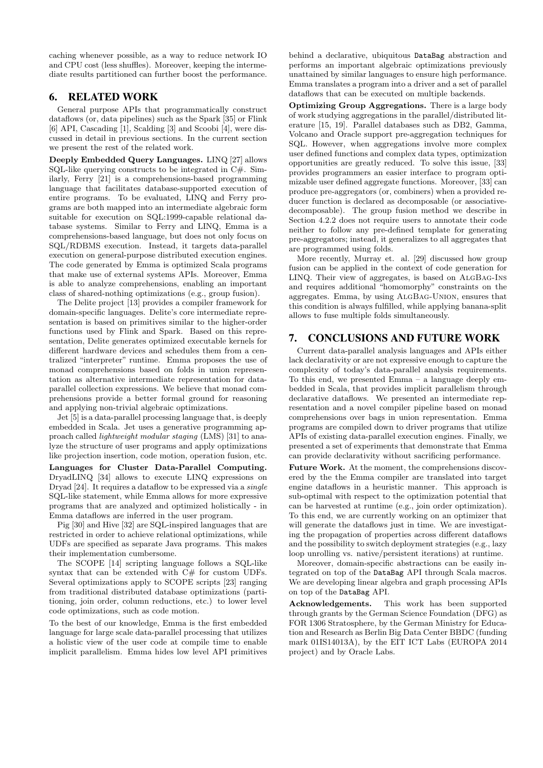caching whenever possible, as a way to reduce network IO and CPU cost (less shuffles). Moreover, keeping the intermediate results partitioned can further boost the performance.

# <span id="page-11-0"></span>6. RELATED WORK

General purpose APIs that programmatically construct dataflows (or, data pipelines) such as the Spark [\[35\]](#page-12-4) or Flink [\[6\]](#page-12-5) API, Cascading [\[1\]](#page-12-1), Scalding [\[3\]](#page-12-20) and Scoobi [\[4\]](#page-12-21), were discussed in detail in previous sections. In the current section we present the rest of the related work.

Deeply Embedded Query Languages. LINQ [\[27\]](#page-12-8) allows SQL-like querying constructs to be integrated in  $C#$ . Similarly, Ferry [\[21\]](#page-12-22) is a comprehensions-based programming language that facilitates database-supported execution of entire programs. To be evaluated, LINQ and Ferry programs are both mapped into an intermediate algebraic form suitable for execution on SQL:1999-capable relational database systems. Similar to Ferry and LINQ, Emma is a comprehensions-based language, but does not only focus on SQL/RDBMS execution. Instead, it targets data-parallel execution on general-purpose distributed execution engines. The code generated by Emma is optimized Scala programs that make use of external systems APIs. Moreover, Emma is able to analyze comprehensions, enabling an important class of shared-nothing optimizations (e.g., group fusion).

The Delite project [\[13\]](#page-12-23) provides a compiler framework for domain-specific languages. Delite's core intermediate representation is based on primitives similar to the higher-order functions used by Flink and Spark. Based on this representation, Delite generates optimized executable kernels for different hardware devices and schedules them from a centralized "interpreter" runtime. Emma proposes the use of monad comprehensions based on folds in union representation as alternative intermediate representation for dataparallel collection expressions. We believe that monad comprehensions provide a better formal ground for reasoning and applying non-trivial algebraic optimizations.

Jet [\[5\]](#page-12-24) is a data-parallel processing language that, is deeply embedded in Scala. Jet uses a generative programming approach called lightweight modular staging (LMS) [\[31\]](#page-12-25) to analyze the structure of user programs and apply optimizations like projection insertion, code motion, operation fusion, etc.

Languages for Cluster Data-Parallel Computing. DryadLINQ [\[34\]](#page-12-26) allows to execute LINQ expressions on Dryad [\[24\]](#page-12-27). It requires a dataflow to be expressed via a single SQL-like statement, while Emma allows for more expressive programs that are analyzed and optimized holistically - in Emma dataflows are inferred in the user program.

Pig [\[30\]](#page-12-28) and Hive [\[32\]](#page-12-29) are SQL-inspired languages that are restricted in order to achieve relational optimizations, while UDFs are specified as separate Java programs. This makes their implementation cumbersome.

The SCOPE [\[14\]](#page-12-3) scripting language follows a SQL-like syntax that can be extended with C# for custom UDFs. Several optimizations apply to SCOPE scripts [\[23\]](#page-12-30) ranging from traditional distributed database optimizations (partitioning, join order, column reductions, etc.) to lower level code optimizations, such as code motion.

To the best of our knowledge, Emma is the first embedded language for large scale data-parallel processing that utilizes a holistic view of the user code at compile time to enable implicit parallelism. Emma hides low level API primitives

behind a declarative, ubiquitous DataBag abstraction and performs an important algebraic optimizations previously unattained by similar languages to ensure high performance. Emma translates a program into a driver and a set of parallel dataflows that can be executed on multiple backends.

Optimizing Group Aggregations. There is a large body of work studying aggregations in the parallel/distributed literature [\[15,](#page-12-31) [19\]](#page-12-32). Parallel databases such as DB2, Gamma, Volcano and Oracle support pre-aggregation techniques for SQL. However, when aggregations involve more complex user defined functions and complex data types, optimization opportunities are greatly reduced. To solve this issue, [\[33\]](#page-12-33) provides programmers an easier interface to program optimizable user defined aggregate functions. Moreover, [\[33\]](#page-12-33) can produce pre-aggregators (or, combiners) when a provided reducer function is declared as decomposable (or associativedecomposable). The group fusion method we describe in [Section 4.2.2](#page-7-1) does not require users to annotate their code neither to follow any pre-defined template for generating pre-aggregators; instead, it generalizes to all aggregates that are programmed using folds.

More recently, Murray et. al. [\[29\]](#page-12-34) discussed how group fusion can be applied in the context of code generation for LINQ. Their view of aggregates, is based on [AlgBag-Ins](#page-2-6) and requires additional "homomorphy" constraints on the aggregates. Emma, by using [AlgBag-Union](#page-3-1), ensures that this condition is always fulfilled, while applying banana-split allows to fuse multiple folds simultaneously.

# <span id="page-11-1"></span>7. CONCLUSIONS AND FUTURE WORK

Current data-parallel analysis languages and APIs either lack declarativity or are not expressive enough to capture the complexity of today's data-parallel analysis requirements. To this end, we presented Emma – a language deeply embedded in Scala, that provides implicit parallelism through declarative dataflows. We presented an intermediate representation and a novel compiler pipeline based on monad comprehensions over bags in union representation. Emma programs are compiled down to driver programs that utilize APIs of existing data-parallel execution engines. Finally, we presented a set of experiments that demonstrate that Emma can provide declarativity without sacrificing performance.

Future Work. At the moment, the comprehensions discovered by the the Emma compiler are translated into target engine dataflows in a heuristic manner. This approach is sub-optimal with respect to the optimization potential that can be harvested at runtime (e.g., join order optimization). To this end, we are currently working on an optimizer that will generate the dataflows just in time. We are investigating the propagation of properties across different dataflows and the possibility to switch deployment strategies (e.g., lazy loop unrolling vs. native/persistent iterations) at runtime.

Moreover, domain-specific abstractions can be easily integrated on top of the DataBag API through Scala macros. We are developing linear algebra and graph processing APIs on top of the DataBag API.

Acknowledgements. This work has been supported through grants by the German Science Foundation (DFG) as FOR 1306 Stratosphere, by the German Ministry for Education and Research as Berlin Big Data Center BBDC (funding mark 01IS14013A), by the EIT ICT Labs (EUROPA 2014 project) and by Oracle Labs.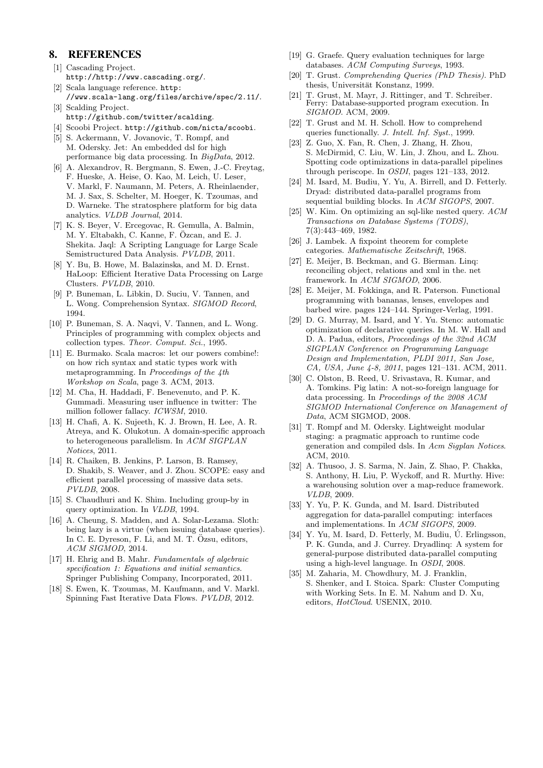# 8. REFERENCES

- <span id="page-12-1"></span>[1] Cascading Project. <http://http://www.cascading.org/>. [2] Scala language reference. [http:](http://www.scala-lang.org/files/archive/spec/2.11/)
- <span id="page-12-15"></span>[//www.scala-lang.org/files/archive/spec/2.11/](http://www.scala-lang.org/files/archive/spec/2.11/). [3] Scalding Project.
- <span id="page-12-20"></span><http://github.com/twitter/scalding>. [4] Scoobi Project. <http://github.com/nicta/scoobi>.
- <span id="page-12-24"></span><span id="page-12-21"></span>[5] S. Ackermann, V. Jovanovic, T. Rompf, and
- M. Odersky. Jet: An embedded dsl for high performance big data processing. In BigData, 2012.
- <span id="page-12-5"></span>[6] A. Alexandrov, R. Bergmann, S. Ewen, J.-C. Freytag, F. Hueske, A. Heise, O. Kao, M. Leich, U. Leser, V. Markl, F. Naumann, M. Peters, A. Rheinlaender, M. J. Sax, S. Schelter, M. Hoeger, K. Tzoumas, and D. Warneke. The stratosphere platform for big data analytics. VLDB Journal, 2014.
- <span id="page-12-0"></span>[7] K. S. Beyer, V. Ercegovac, R. Gemulla, A. Balmin, M. Y. Eltabakh, C. Kanne, F. Özcan, and E. J. Shekita. Jaql: A Scripting Language for Large Scale Semistructured Data Analysis. PVLDB, 2011.
- <span id="page-12-2"></span>[8] Y. Bu, B. Howe, M. Balazinska, and M. D. Ernst. HaLoop: Efficient Iterative Data Processing on Large Clusters. PVLDB, 2010.
- <span id="page-12-10"></span>[9] P. Buneman, L. Libkin, D. Suciu, V. Tannen, and L. Wong. Comprehension Syntax. SIGMOD Record, 1994.
- <span id="page-12-12"></span>[10] P. Buneman, S. A. Naqvi, V. Tannen, and L. Wong. Principles of programming with complex objects and collection types. Theor. Comput. Sci., 1995.
- <span id="page-12-9"></span>[11] E. Burmako. Scala macros: let our powers combine!: on how rich syntax and static types work with metaprogramming. In Proceedings of the 4th Workshop on Scala, page 3. ACM, 2013.
- <span id="page-12-19"></span>[12] M. Cha, H. Haddadi, F. Benevenuto, and P. K. Gummadi. Measuring user influence in twitter: The million follower fallacy. ICWSM, 2010.
- <span id="page-12-23"></span>[13] H. Chafi, A. K. Sujeeth, K. J. Brown, H. Lee, A. R. Atreya, and K. Olukotun. A domain-specific approach to heterogeneous parallelism. In ACM SIGPLAN Notices, 2011.
- <span id="page-12-3"></span>[14] R. Chaiken, B. Jenkins, P. Larson, B. Ramsey, D. Shakib, S. Weaver, and J. Zhou. SCOPE: easy and efficient parallel processing of massive data sets. PVLDB, 2008.
- <span id="page-12-31"></span>[15] S. Chaudhuri and K. Shim. Including group-by in query optimization. In VLDB, 1994.
- <span id="page-12-18"></span>[16] A. Cheung, S. Madden, and A. Solar-Lezama. Sloth: being lazy is a virtue (when issuing database queries). In C. E. Dyreson, F. Li, and M. T. Özsu, editors, ACM SIGMOD, 2014.
- <span id="page-12-13"></span>[17] H. Ehrig and B. Mahr. Fundamentals of algebraic specification 1: Equations and initial semantics. Springer Publishing Company, Incorporated, 2011.
- <span id="page-12-6"></span>[18] S. Ewen, K. Tzoumas, M. Kaufmann, and V. Markl. Spinning Fast Iterative Data Flows. PVLDB, 2012.
- <span id="page-12-32"></span>[19] G. Graefe. Query evaluation techniques for large databases. ACM Computing Surveys, 1993.
- <span id="page-12-11"></span>[20] T. Grust. Comprehending Queries (PhD Thesis). PhD thesis, Universität Konstanz, 1999.
- <span id="page-12-22"></span>[21] T. Grust, M. Mayr, J. Rittinger, and T. Schreiber. Ferry: Database-supported program execution. In SIGMOD. ACM, 2009.
- <span id="page-12-7"></span>[22] T. Grust and M. H. Scholl. How to comprehend queries functionally. J. Intell. Inf. Syst., 1999.
- <span id="page-12-30"></span>[23] Z. Guo, X. Fan, R. Chen, J. Zhang, H. Zhou, S. McDirmid, C. Liu, W. Lin, J. Zhou, and L. Zhou. Spotting code optimizations in data-parallel pipelines through periscope. In OSDI, pages 121–133, 2012.
- <span id="page-12-27"></span>[24] M. Isard, M. Budiu, Y. Yu, A. Birrell, and D. Fetterly. Dryad: distributed data-parallel programs from sequential building blocks. In ACM SIGOPS, 2007.
- <span id="page-12-16"></span>[25] W. Kim. On optimizing an sql-like nested query. ACM Transactions on Database Systems (TODS), 7(3):443–469, 1982.
- <span id="page-12-14"></span>[26] J. Lambek. A fixpoint theorem for complete categories. Mathematische Zeitschrift, 1968.
- <span id="page-12-8"></span>[27] E. Meijer, B. Beckman, and G. Bierman. Linq: reconciling object, relations and xml in the. net framework. In ACM SIGMOD, 2006.
- <span id="page-12-17"></span>[28] E. Meijer, M. Fokkinga, and R. Paterson. Functional programming with bananas, lenses, envelopes and barbed wire. pages 124–144. Springer-Verlag, 1991.
- <span id="page-12-34"></span>[29] D. G. Murray, M. Isard, and Y. Yu. Steno: automatic optimization of declarative queries. In M. W. Hall and D. A. Padua, editors, Proceedings of the 32nd ACM SIGPLAN Conference on Programming Language Design and Implementation, PLDI 2011, San Jose, CA, USA, June 4-8, 2011, pages 121–131. ACM, 2011.
- <span id="page-12-28"></span>[30] C. Olston, B. Reed, U. Srivastava, R. Kumar, and A. Tomkins. Pig latin: A not-so-foreign language for data processing. In Proceedings of the 2008 ACM SIGMOD International Conference on Management of Data, ACM SIGMOD, 2008.
- <span id="page-12-25"></span>[31] T. Rompf and M. Odersky. Lightweight modular staging: a pragmatic approach to runtime code generation and compiled dsls. In Acm Sigplan Notices. ACM, 2010.
- <span id="page-12-29"></span>[32] A. Thusoo, J. S. Sarma, N. Jain, Z. Shao, P. Chakka, S. Anthony, H. Liu, P. Wyckoff, and R. Murthy. Hive: a warehousing solution over a map-reduce framework. VLDB, 2009.
- <span id="page-12-33"></span>[33] Y. Yu, P. K. Gunda, and M. Isard. Distributed aggregation for data-parallel computing: interfaces and implementations. In ACM SIGOPS, 2009.
- <span id="page-12-26"></span>[34] Y. Yu, M. Isard, D. Fetterly, M. Budiu,  $\acute{U}$ . Erlingsson, P. K. Gunda, and J. Currey. Dryadlinq: A system for general-purpose distributed data-parallel computing using a high-level language. In OSDI, 2008.
- <span id="page-12-4"></span>[35] M. Zaharia, M. Chowdhury, M. J. Franklin, S. Shenker, and I. Stoica. Spark: Cluster Computing with Working Sets. In E. M. Nahum and D. Xu, editors, HotCloud. USENIX, 2010.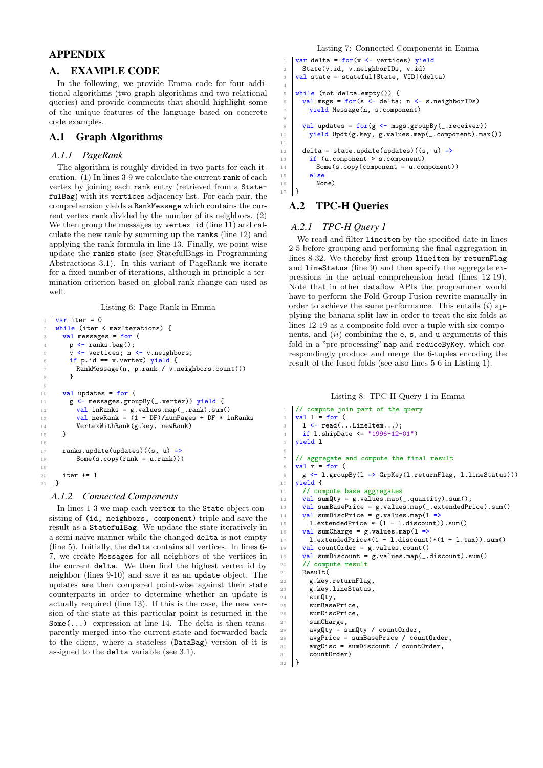# APPENDIX

# <span id="page-13-0"></span>A. EXAMPLE CODE

In the following, we provide Emma code for four additional algorithms (two graph algorithms and two relational queries) and provide comments that should highlight some of the unique features of the language based on concrete code examples.

# A.1 Graph Algorithms

## *A.1.1 PageRank*

9

<sup>15</sup> } 16

10

The algorithm is roughly divided in two parts for each iteration.  $(1)$  In lines 3-9 we calculate the current rank of each vertex by joining each rank entry (retrieved from a StatefulBag) with its vertices adjacency list. For each pair, the comprehension yields a RankMessage which contains the current vertex rank divided by the number of its neighbors. (2) We then group the messages by vertex id (line 11) and calculate the new rank by summing up the ranks (line 12) and applying the rank formula in line 13. Finally, we point-wise update the ranks state (see StatefulBags in Programming Abstractions [3.1\)](#page-4-2). In this variant of PageRank we iterate for a fixed number of iterations, although in principle a termination criterion based on global rank change can used as well.

Listing 6: Page Rank in Emma

```
var iter = 0
2 while (iter \leq maxIterations) {
3 val messages = for (
4 | p \leftarrow ranks.bag();
5 v \leftarrow vertices; n \leftarrow v.neighbors;
6 if p.id == v.vertex) yield {
7 RankMessage(n, p.rank / v.neighbors.count())
 8 }
10 val updates = for (
11 | g <- messages.groupBy(_.vertex)) yield {
12 val inRanks = g.values.map(_.rank).sum()
13 val newRank = (1 - DF)/numPages + DF * inRanks14 VertexWithRank(g.key, newRank)
17 ranks.update(updates)((s, u) =>
18 Some(s.copy(rank = u.rank)))\begin{array}{c|c} 20 & \text{iter} & \text{+}=1 \\ 21 & \text{} \end{array}| }
```
#### *A.1.2 Connected Components*

In lines 1-3 we map each vertex to the State object consisting of (id, neighbors, component) triple and save the result as a StatefulBag. We update the state iteratively in a semi-naive manner while the changed delta is not empty (line 5). Initially, the delta contains all vertices. In lines 6- 7, we create Messages for all neighbors of the vertices in the current delta. We then find the highest vertex id by neighbor (lines 9-10) and save it as an update object. The updates are then compared point-wise against their state counterparts in order to determine whether an update is actually required (line 13). If this is the case, the new version of the state at this particular point is returned in the  $Some(\ldots)$  expression at line 14. The delta is then transparently merged into the current state and forwarded back to the client, where a stateless (DataBag) version of it is assigned to the delta variable (see [3.1\)](#page-4-2).

Listing 7: Connected Components in Emma

```
var delta = for(v \leftarrow vertices) yield
 2 State(v.id, v.neighborIDs, v.id)
3 \vert val state = stateful [State, VID] (delta)
5 while (not delta.empty()) {
6 val msgs = for(s <- delta; n <- s.neighborIDs)
 7 yield Message(n, s.component)
9 \mid \text{val updates} = \text{for}(g \leftarrow \text{msgs.groupBy}(\_ \text{...} \text{receiver}))10 yield Updt(g.key, g.values.map(_.component).max())
12 delta = state.update(updates)((s, u) =>
13 if (u.component > s.component)
14 Some(s.copy(component = u.component))
\begin{array}{c|c}\n 15 & \text{else} \\
 \hline\n 16 & \text{Non}\n \end{array}\Big\downarrow None)
```
# A.2 TPC-H Queries

4

8

11

<sup>17</sup> }

<span id="page-13-5"></span><span id="page-13-4"></span><span id="page-13-3"></span><span id="page-13-2"></span><span id="page-13-1"></span>6

## *A.2.1 TPC-H Query 1*

We read and filter lineitem by the specified date in lines 2-5 before grouping and performing the final aggregation in lines [8](#page-13-1)[-32.](#page-13-2) We thereby first group lineitem by returnFlag and lineStatus (line [9\)](#page-13-3) and then specify the aggregate expressions in the actual comprehension head (lines [12-](#page-13-4)[19\)](#page-13-5). Note that in other dataflow APIs the programmer would have to perform the Fold-Group Fusion rewrite manually in order to achieve the same performance. This entails  $(i)$  applying the banana split law in order to treat the six folds at lines [12-](#page-13-4)[19](#page-13-5) as a composite fold over a tuple with six components, and  $(ii)$  combining the  $e$ ,  $s$ , and  $u$  arguments of this fold in a "pre-processing" map and reduceByKey, which correspondingly produce and merge the 6-tuples encoding the result of the fused folds (see also lines [5-](#page-1-5)[6](#page-1-6) in [Listing 1\)](#page-1-0).

#### Listing 8: TPC-H Query 1 in Emma

```
1 // compute join part of the query
_2 val 1 = for (
\begin{array}{c|c} 3 & 1 & \leftarrow \text{read}(\dots \text{LineItem} \dots); \end{array}4 if 1.shipDate <= "1996-12-01")
5 yield l
 7 // aggregate and compute the final result
8 \vert \text{val } r = \text{for } (9 g \left\langle -1.\text{groupBy}(1 \Rightarrow \text{GrpKey}(1.\text{returnFlag}, 1.\text{lineStatus})).\right\rangle10 yield {
11 // compute base aggregates
12 val sumQty = g.values.map(_.quantity).sum();
13 val sumBasePrice = g.values.map(_.extendedPrice).sum()
\frac{14}{14} val sumDiscPrice = g.values.map(1 =>
15 | 1.extendedPrice *(1 - 1.discount)).sum()
16 val sumCharge = g.values.map(1 = x)17 | l.extendedPrice*(1 - l.discount)*(1 + l.tax)).sum()
18 val countOrder = g.values.count()
\begin{bmatrix} 19 \\ 19 \end{bmatrix} val sumDiscount = g.values.map(_.discount).sum()
20 // compute result
21 Result(
22 g.key.returnFlag,
23 g.key.lineStatus,
_{24} sumQty,
25 sumBasePrice,
26 sumDiscPrice,<br>27 sumCharge.
         sumCharge,
28 avgQty = sumQty / countOrder,
29 avgPrice = sumBasePrice / countOrder,
30 avgDisc = sumDiscount / countOrder,
\begin{array}{c|c} 31 & \text{countOrder} \end{array}32 }
```